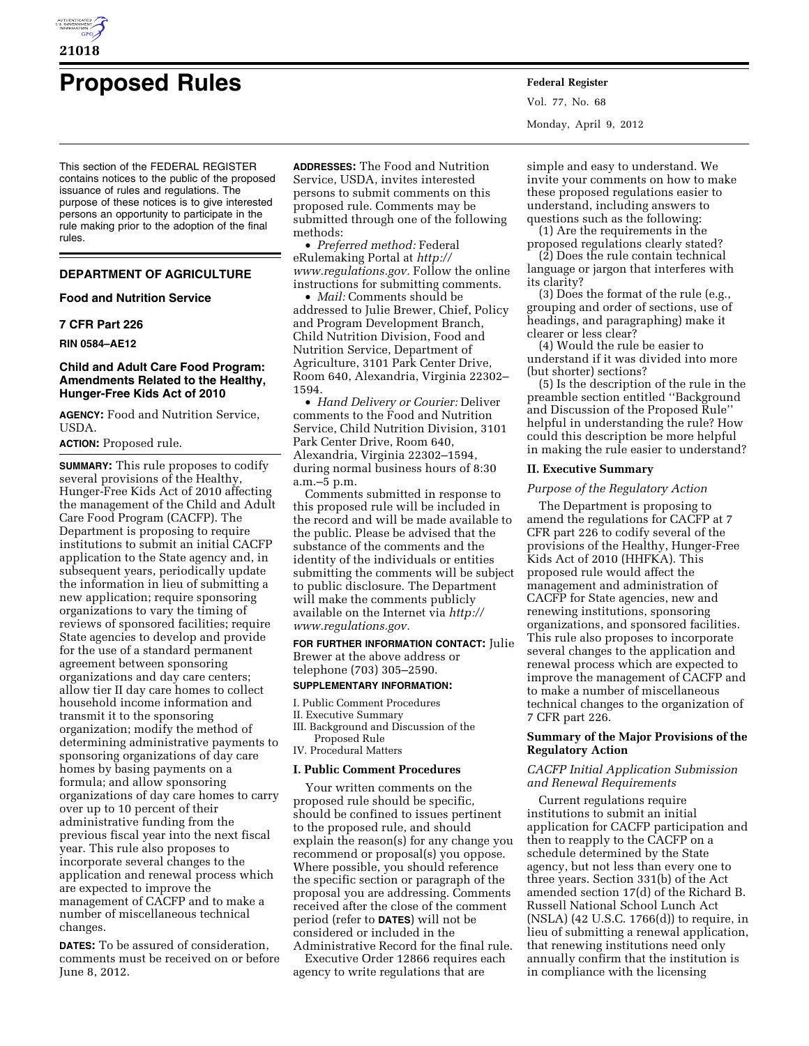

# **Proposed Rules Federal Register**

This section of the FEDERAL REGISTER contains notices to the public of the proposed issuance of rules and regulations. The purpose of these notices is to give interested persons an opportunity to participate in the rule making prior to the adoption of the final rules.

# **DEPARTMENT OF AGRICULTURE**

# **Food and Nutrition Service**

# **7 CFR Part 226**

### **RIN 0584–AE12**

# **Child and Adult Care Food Program: Amendments Related to the Healthy, Hunger-Free Kids Act of 2010**

**AGENCY:** Food and Nutrition Service, USDA.

# **ACTION:** Proposed rule.

**SUMMARY:** This rule proposes to codify several provisions of the Healthy, Hunger-Free Kids Act of 2010 affecting the management of the Child and Adult Care Food Program (CACFP). The Department is proposing to require institutions to submit an initial CACFP application to the State agency and, in subsequent years, periodically update the information in lieu of submitting a new application; require sponsoring organizations to vary the timing of reviews of sponsored facilities; require State agencies to develop and provide for the use of a standard permanent agreement between sponsoring organizations and day care centers; allow tier II day care homes to collect household income information and transmit it to the sponsoring organization; modify the method of determining administrative payments to sponsoring organizations of day care homes by basing payments on a formula; and allow sponsoring organizations of day care homes to carry over up to 10 percent of their administrative funding from the previous fiscal year into the next fiscal year. This rule also proposes to incorporate several changes to the application and renewal process which are expected to improve the management of CACFP and to make a number of miscellaneous technical changes.

**DATES:** To be assured of consideration, comments must be received on or before June 8, 2012.

**ADDRESSES:** The Food and Nutrition Service, USDA, invites interested persons to submit comments on this proposed rule. Comments may be submitted through one of the following methods:

• *Preferred method:* Federal eRulemaking Portal at *[http://](http://www.regulations.gov)  [www.regulations.gov.](http://www.regulations.gov)* Follow the online instructions for submitting comments.

• *Mail:* Comments should be addressed to Julie Brewer, Chief, Policy and Program Development Branch, Child Nutrition Division, Food and Nutrition Service, Department of Agriculture, 3101 Park Center Drive, Room 640, Alexandria, Virginia 22302– 1594.

• *Hand Delivery or Courier:* Deliver comments to the Food and Nutrition Service, Child Nutrition Division, 3101 Park Center Drive, Room 640, Alexandria, Virginia 22302–1594, during normal business hours of 8:30 a.m.–5 p.m.

Comments submitted in response to this proposed rule will be included in the record and will be made available to the public. Please be advised that the substance of the comments and the identity of the individuals or entities submitting the comments will be subject to public disclosure. The Department will make the comments publicly available on the Internet via *[http://](http://www.regulations.gov) [www.regulations.gov.](http://www.regulations.gov)* 

**FOR FURTHER INFORMATION CONTACT:** Julie Brewer at the above address or telephone (703) 305–2590.

# **SUPPLEMENTARY INFORMATION:**

I. Public Comment Procedures II. Executive Summary

III. Background and Discussion of the Proposed Rule

IV. Procedural Matters

# **I. Public Comment Procedures**

Your written comments on the proposed rule should be specific, should be confined to issues pertinent to the proposed rule, and should explain the reason(s) for any change you recommend or proposal(s) you oppose. Where possible, you should reference the specific section or paragraph of the proposal you are addressing. Comments received after the close of the comment period (refer to **DATES**) will not be considered or included in the Administrative Record for the final rule.

Executive Order 12866 requires each agency to write regulations that are

Vol. 77, No. 68 Monday, April 9, 2012

simple and easy to understand. We invite your comments on how to make these proposed regulations easier to understand, including answers to questions such as the following:

(1) Are the requirements in the proposed regulations clearly stated?

(2) Does the rule contain technical language or jargon that interferes with its clarity?

(3) Does the format of the rule (e.g., grouping and order of sections, use of headings, and paragraphing) make it clearer or less clear?

(4) Would the rule be easier to understand if it was divided into more (but shorter) sections?

(5) Is the description of the rule in the preamble section entitled ''Background and Discussion of the Proposed Rule'' helpful in understanding the rule? How could this description be more helpful in making the rule easier to understand?

## **II. Executive Summary**

# *Purpose of the Regulatory Action*

The Department is proposing to amend the regulations for CACFP at 7 CFR part 226 to codify several of the provisions of the Healthy, Hunger-Free Kids Act of 2010 (HHFKA). This proposed rule would affect the management and administration of CACFP for State agencies, new and renewing institutions, sponsoring organizations, and sponsored facilities. This rule also proposes to incorporate several changes to the application and renewal process which are expected to improve the management of CACFP and to make a number of miscellaneous technical changes to the organization of 7 CFR part 226.

# **Summary of the Major Provisions of the Regulatory Action**

## *CACFP Initial Application Submission and Renewal Requirements*

Current regulations require institutions to submit an initial application for CACFP participation and then to reapply to the CACFP on a schedule determined by the State agency, but not less than every one to three years. Section 331(b) of the Act amended section 17(d) of the Richard B. Russell National School Lunch Act (NSLA) (42 U.S.C. 1766(d)) to require, in lieu of submitting a renewal application, that renewing institutions need only annually confirm that the institution is in compliance with the licensing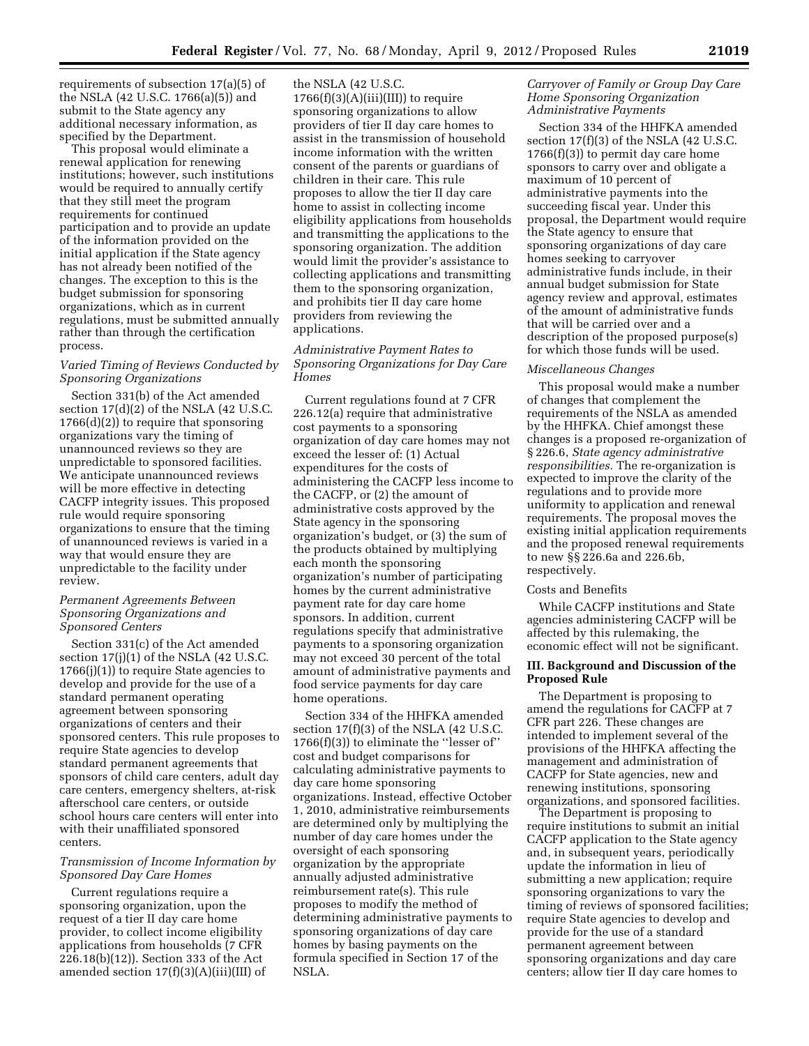requirements of subsection 17(a)(5) of the NSLA (42 U.S.C. 1766(a)(5)) and submit to the State agency any additional necessary information, as specified by the Department.

This proposal would eliminate a renewal application for renewing institutions; however, such institutions would be required to annually certify that they still meet the program requirements for continued participation and to provide an update of the information provided on the initial application if the State agency has not already been notified of the changes. The exception to this is the budget submission for sponsoring organizations, which as in current regulations, must be submitted annually rather than through the certification process.

# *Varied Timing of Reviews Conducted by Sponsoring Organizations*

Section 331(b) of the Act amended section 17(d)(2) of the NSLA (42 U.S.C. 1766(d)(2)) to require that sponsoring organizations vary the timing of unannounced reviews so they are unpredictable to sponsored facilities. We anticipate unannounced reviews will be more effective in detecting CACFP integrity issues. This proposed rule would require sponsoring organizations to ensure that the timing of unannounced reviews is varied in a way that would ensure they are unpredictable to the facility under review.

# *Permanent Agreements Between Sponsoring Organizations and Sponsored Centers*

Section 331(c) of the Act amended section  $17(j)(1)$  of the NSLA (42 U.S.C.  $1766(j)(1)$  to require State agencies to develop and provide for the use of a standard permanent operating agreement between sponsoring organizations of centers and their sponsored centers. This rule proposes to require State agencies to develop standard permanent agreements that sponsors of child care centers, adult day care centers, emergency shelters, at-risk afterschool care centers, or outside school hours care centers will enter into with their unaffiliated sponsored centers.

# *Transmission of Income Information by Sponsored Day Care Homes*

Current regulations require a sponsoring organization, upon the request of a tier II day care home provider, to collect income eligibility applications from households (7 CFR 226.18(b)(12)). Section 333 of the Act amended section  $17(f)(3)(A)(iii)(III)$  of the NSLA (42 U.S.C.  $1766(f)(3)(A)(iii)(III))$  to require sponsoring organizations to allow providers of tier II day care homes to assist in the transmission of household income information with the written consent of the parents or guardians of children in their care. This rule proposes to allow the tier II day care home to assist in collecting income eligibility applications from households and transmitting the applications to the sponsoring organization. The addition would limit the provider's assistance to collecting applications and transmitting them to the sponsoring organization, and prohibits tier II day care home providers from reviewing the applications.

# *Administrative Payment Rates to Sponsoring Organizations for Day Care Homes*

Current regulations found at 7 CFR 226.12(a) require that administrative cost payments to a sponsoring organization of day care homes may not exceed the lesser of: (1) Actual expenditures for the costs of administering the CACFP less income to the CACFP, or (2) the amount of administrative costs approved by the State agency in the sponsoring organization's budget, or (3) the sum of the products obtained by multiplying each month the sponsoring organization's number of participating homes by the current administrative payment rate for day care home sponsors. In addition, current regulations specify that administrative payments to a sponsoring organization may not exceed 30 percent of the total amount of administrative payments and food service payments for day care home operations.

Section 334 of the HHFKA amended section 17(f)(3) of the NSLA (42 U.S.C. 1766(f)(3)) to eliminate the ''lesser of'' cost and budget comparisons for calculating administrative payments to day care home sponsoring organizations. Instead, effective October 1, 2010, administrative reimbursements are determined only by multiplying the number of day care homes under the oversight of each sponsoring organization by the appropriate annually adjusted administrative reimbursement rate(s). This rule proposes to modify the method of determining administrative payments to sponsoring organizations of day care homes by basing payments on the formula specified in Section 17 of the NSLA.

# *Carryover of Family or Group Day Care Home Sponsoring Organization Administrative Payments*

Section 334 of the HHFKA amended section 17(f)(3) of the NSLA (42 U.S.C.  $1766(f)(3)$  to permit day care home sponsors to carry over and obligate a maximum of 10 percent of administrative payments into the succeeding fiscal year. Under this proposal, the Department would require the State agency to ensure that sponsoring organizations of day care homes seeking to carryover administrative funds include, in their annual budget submission for State agency review and approval, estimates of the amount of administrative funds that will be carried over and a description of the proposed purpose(s) for which those funds will be used.

## *Miscellaneous Changes*

This proposal would make a number of changes that complement the requirements of the NSLA as amended by the HHFKA. Chief amongst these changes is a proposed re-organization of § 226.6, *State agency administrative responsibilities.* The re-organization is expected to improve the clarity of the regulations and to provide more uniformity to application and renewal requirements. The proposal moves the existing initial application requirements and the proposed renewal requirements to new §§ 226.6a and 226.6b, respectively.

## Costs and Benefits

While CACFP institutions and State agencies administering CACFP will be affected by this rulemaking, the economic effect will not be significant.

## **III. Background and Discussion of the Proposed Rule**

The Department is proposing to amend the regulations for CACFP at 7 CFR part 226. These changes are intended to implement several of the provisions of the HHFKA affecting the management and administration of CACFP for State agencies, new and renewing institutions, sponsoring organizations, and sponsored facilities.

The Department is proposing to require institutions to submit an initial CACFP application to the State agency and, in subsequent years, periodically update the information in lieu of submitting a new application; require sponsoring organizations to vary the timing of reviews of sponsored facilities; require State agencies to develop and provide for the use of a standard permanent agreement between sponsoring organizations and day care centers; allow tier II day care homes to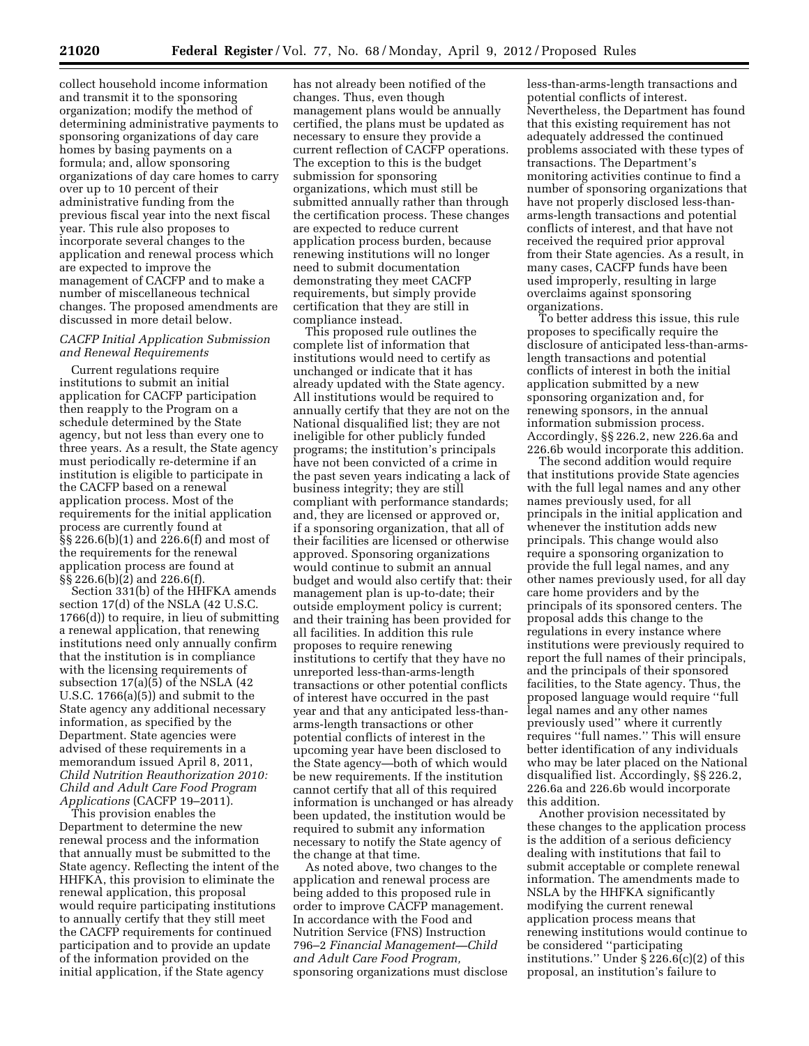collect household income information and transmit it to the sponsoring organization; modify the method of determining administrative payments to sponsoring organizations of day care homes by basing payments on a formula; and, allow sponsoring organizations of day care homes to carry over up to 10 percent of their administrative funding from the previous fiscal year into the next fiscal year. This rule also proposes to incorporate several changes to the application and renewal process which are expected to improve the management of CACFP and to make a number of miscellaneous technical changes. The proposed amendments are discussed in more detail below.

# *CACFP Initial Application Submission and Renewal Requirements*

Current regulations require institutions to submit an initial application for CACFP participation then reapply to the Program on a schedule determined by the State agency, but not less than every one to three years. As a result, the State agency must periodically re-determine if an institution is eligible to participate in the CACFP based on a renewal application process. Most of the requirements for the initial application process are currently found at §§ 226.6(b)(1) and 226.6(f) and most of the requirements for the renewal application process are found at §§ 226.6(b)(2) and 226.6(f).

Section 331(b) of the HHFKA amends section 17(d) of the NSLA (42 U.S.C. 1766(d)) to require, in lieu of submitting a renewal application, that renewing institutions need only annually confirm that the institution is in compliance with the licensing requirements of subsection 17(a)(5) of the NSLA (42 U.S.C. 1766(a)(5)) and submit to the State agency any additional necessary information, as specified by the Department. State agencies were advised of these requirements in a memorandum issued April 8, 2011, *Child Nutrition Reauthorization 2010: Child and Adult Care Food Program Applications* (CACFP 19–2011).

This provision enables the Department to determine the new renewal process and the information that annually must be submitted to the State agency. Reflecting the intent of the HHFKA, this provision to eliminate the renewal application, this proposal would require participating institutions to annually certify that they still meet the CACFP requirements for continued participation and to provide an update of the information provided on the initial application, if the State agency

has not already been notified of the changes. Thus, even though management plans would be annually certified, the plans must be updated as necessary to ensure they provide a current reflection of CACFP operations. The exception to this is the budget submission for sponsoring organizations, which must still be submitted annually rather than through the certification process. These changes are expected to reduce current application process burden, because renewing institutions will no longer need to submit documentation demonstrating they meet CACFP requirements, but simply provide certification that they are still in compliance instead.

This proposed rule outlines the complete list of information that institutions would need to certify as unchanged or indicate that it has already updated with the State agency. All institutions would be required to annually certify that they are not on the National disqualified list; they are not ineligible for other publicly funded programs; the institution's principals have not been convicted of a crime in the past seven years indicating a lack of business integrity; they are still compliant with performance standards; and, they are licensed or approved or, if a sponsoring organization, that all of their facilities are licensed or otherwise approved. Sponsoring organizations would continue to submit an annual budget and would also certify that: their management plan is up-to-date; their outside employment policy is current; and their training has been provided for all facilities. In addition this rule proposes to require renewing institutions to certify that they have no unreported less-than-arms-length transactions or other potential conflicts of interest have occurred in the past year and that any anticipated less-thanarms-length transactions or other potential conflicts of interest in the upcoming year have been disclosed to the State agency—both of which would be new requirements. If the institution cannot certify that all of this required information is unchanged or has already been updated, the institution would be required to submit any information necessary to notify the State agency of the change at that time.

As noted above, two changes to the application and renewal process are being added to this proposed rule in order to improve CACFP management. In accordance with the Food and Nutrition Service (FNS) Instruction 796–2 *Financial Management—Child and Adult Care Food Program,*  sponsoring organizations must disclose

less-than-arms-length transactions and potential conflicts of interest. Nevertheless, the Department has found that this existing requirement has not adequately addressed the continued problems associated with these types of transactions. The Department's monitoring activities continue to find a number of sponsoring organizations that have not properly disclosed less-thanarms-length transactions and potential conflicts of interest, and that have not received the required prior approval from their State agencies. As a result, in many cases, CACFP funds have been used improperly, resulting in large overclaims against sponsoring organizations.

To better address this issue, this rule proposes to specifically require the disclosure of anticipated less-than-armslength transactions and potential conflicts of interest in both the initial application submitted by a new sponsoring organization and, for renewing sponsors, in the annual information submission process. Accordingly, §§ 226.2, new 226.6a and 226.6b would incorporate this addition.

The second addition would require that institutions provide State agencies with the full legal names and any other names previously used, for all principals in the initial application and whenever the institution adds new principals. This change would also require a sponsoring organization to provide the full legal names, and any other names previously used, for all day care home providers and by the principals of its sponsored centers. The proposal adds this change to the regulations in every instance where institutions were previously required to report the full names of their principals, and the principals of their sponsored facilities, to the State agency. Thus, the proposed language would require ''full legal names and any other names previously used'' where it currently requires ''full names.'' This will ensure better identification of any individuals who may be later placed on the National disqualified list. Accordingly, §§ 226.2, 226.6a and 226.6b would incorporate this addition.

Another provision necessitated by these changes to the application process is the addition of a serious deficiency dealing with institutions that fail to submit acceptable or complete renewal information. The amendments made to NSLA by the HHFKA significantly modifying the current renewal application process means that renewing institutions would continue to be considered ''participating institutions.'' Under § 226.6(c)(2) of this proposal, an institution's failure to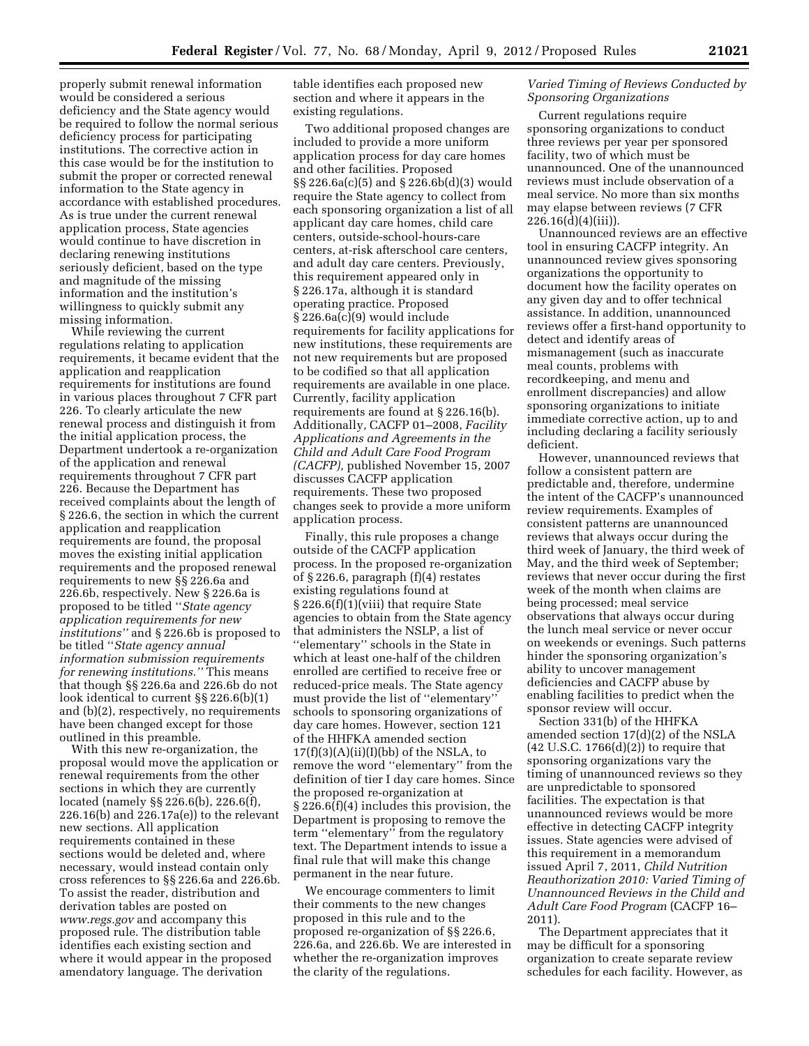properly submit renewal information would be considered a serious deficiency and the State agency would be required to follow the normal serious deficiency process for participating institutions. The corrective action in this case would be for the institution to submit the proper or corrected renewal information to the State agency in accordance with established procedures. As is true under the current renewal application process, State agencies would continue to have discretion in declaring renewing institutions seriously deficient, based on the type and magnitude of the missing information and the institution's willingness to quickly submit any missing information.

While reviewing the current regulations relating to application requirements, it became evident that the application and reapplication requirements for institutions are found in various places throughout 7 CFR part 226. To clearly articulate the new renewal process and distinguish it from the initial application process, the Department undertook a re-organization of the application and renewal requirements throughout 7 CFR part 226. Because the Department has received complaints about the length of § 226.6, the section in which the current application and reapplication requirements are found, the proposal moves the existing initial application requirements and the proposed renewal requirements to new §§ 226.6a and 226.6b, respectively. New § 226.6a is proposed to be titled ''*State agency application requirements for new institutions''* and § 226.6b is proposed to be titled ''*State agency annual information submission requirements for renewing institutions.''* This means that though §§ 226.6a and 226.6b do not look identical to current §§ 226.6(b)(1) and (b)(2), respectively, no requirements have been changed except for those outlined in this preamble.

With this new re-organization, the proposal would move the application or renewal requirements from the other sections in which they are currently located (namely §§ 226.6(b), 226.6(f), 226.16(b) and 226.17a(e)) to the relevant new sections. All application requirements contained in these sections would be deleted and, where necessary, would instead contain only cross references to §§ 226.6a and 226.6b. To assist the reader, distribution and derivation tables are posted on *[www.regs.gov](http://www.regs.gov)* and accompany this proposed rule. The distribution table identifies each existing section and where it would appear in the proposed amendatory language. The derivation

table identifies each proposed new section and where it appears in the existing regulations.

Two additional proposed changes are included to provide a more uniform application process for day care homes and other facilities. Proposed §§ 226.6a(c)(5) and § 226.6b(d)(3) would require the State agency to collect from each sponsoring organization a list of all applicant day care homes, child care centers, outside-school-hours-care centers, at-risk afterschool care centers, and adult day care centers. Previously, this requirement appeared only in § 226.17a, although it is standard operating practice. Proposed § 226.6a(c)(9) would include requirements for facility applications for new institutions, these requirements are not new requirements but are proposed to be codified so that all application requirements are available in one place. Currently, facility application requirements are found at § 226.16(b). Additionally, CACFP 01–2008, *Facility Applications and Agreements in the Child and Adult Care Food Program (CACFP),* published November 15, 2007 discusses CACFP application requirements. These two proposed changes seek to provide a more uniform application process.

Finally, this rule proposes a change outside of the CACFP application process. In the proposed re-organization of § 226.6, paragraph (f)(4) restates existing regulations found at § 226.6(f)(1)(viii) that require State agencies to obtain from the State agency that administers the NSLP, a list of ''elementary'' schools in the State in which at least one-half of the children enrolled are certified to receive free or reduced-price meals. The State agency must provide the list of ''elementary'' schools to sponsoring organizations of day care homes. However, section 121 of the HHFKA amended section  $17(f)(3)(A)(ii)(I)(bb)$  of the NSLA, to remove the word ''elementary'' from the definition of tier I day care homes. Since the proposed re-organization at § 226.6(f)(4) includes this provision, the Department is proposing to remove the term ''elementary'' from the regulatory text. The Department intends to issue a final rule that will make this change permanent in the near future.

We encourage commenters to limit their comments to the new changes proposed in this rule and to the proposed re-organization of §§ 226.6, 226.6a, and 226.6b. We are interested in whether the re-organization improves the clarity of the regulations.

# *Varied Timing of Reviews Conducted by Sponsoring Organizations*

Current regulations require sponsoring organizations to conduct three reviews per year per sponsored facility, two of which must be unannounced. One of the unannounced reviews must include observation of a meal service. No more than six months may elapse between reviews (7 CFR 226.16(d)(4)(iii)).

Unannounced reviews are an effective tool in ensuring CACFP integrity. An unannounced review gives sponsoring organizations the opportunity to document how the facility operates on any given day and to offer technical assistance. In addition, unannounced reviews offer a first-hand opportunity to detect and identify areas of mismanagement (such as inaccurate meal counts, problems with recordkeeping, and menu and enrollment discrepancies) and allow sponsoring organizations to initiate immediate corrective action, up to and including declaring a facility seriously deficient.

However, unannounced reviews that follow a consistent pattern are predictable and, therefore, undermine the intent of the CACFP's unannounced review requirements. Examples of consistent patterns are unannounced reviews that always occur during the third week of January, the third week of May, and the third week of September; reviews that never occur during the first week of the month when claims are being processed; meal service observations that always occur during the lunch meal service or never occur on weekends or evenings. Such patterns hinder the sponsoring organization's ability to uncover management deficiencies and CACFP abuse by enabling facilities to predict when the sponsor review will occur.

Section 331(b) of the HHFKA amended section 17(d)(2) of the NSLA (42 U.S.C. 1766(d)(2)) to require that sponsoring organizations vary the timing of unannounced reviews so they are unpredictable to sponsored facilities. The expectation is that unannounced reviews would be more effective in detecting CACFP integrity issues. State agencies were advised of this requirement in a memorandum issued April 7, 2011, *Child Nutrition Reauthorization 2010: Varied Timing of Unannounced Reviews in the Child and Adult Care Food Program* (CACFP 16– 2011).

The Department appreciates that it may be difficult for a sponsoring organization to create separate review schedules for each facility. However, as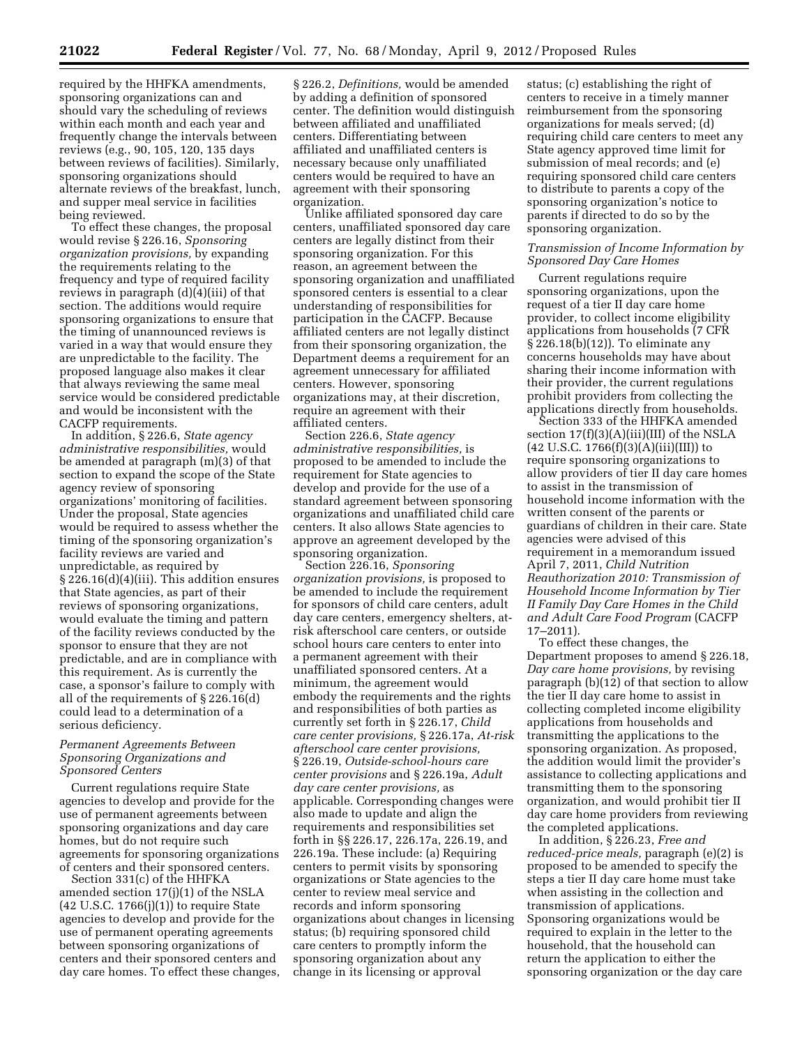required by the HHFKA amendments, sponsoring organizations can and should vary the scheduling of reviews within each month and each year and frequently change the intervals between reviews (e.g., 90, 105, 120, 135 days between reviews of facilities). Similarly, sponsoring organizations should alternate reviews of the breakfast, lunch, and supper meal service in facilities being reviewed.

To effect these changes, the proposal would revise § 226.16, *Sponsoring organization provisions,* by expanding the requirements relating to the frequency and type of required facility reviews in paragraph (d)(4)(iii) of that section. The additions would require sponsoring organizations to ensure that the timing of unannounced reviews is varied in a way that would ensure they are unpredictable to the facility. The proposed language also makes it clear that always reviewing the same meal service would be considered predictable and would be inconsistent with the CACFP requirements.

In addition, § 226.6, *State agency administrative responsibilities,* would be amended at paragraph (m)(3) of that section to expand the scope of the State agency review of sponsoring organizations' monitoring of facilities. Under the proposal, State agencies would be required to assess whether the timing of the sponsoring organization's facility reviews are varied and unpredictable, as required by § 226.16(d)(4)(iii). This addition ensures that State agencies, as part of their reviews of sponsoring organizations, would evaluate the timing and pattern of the facility reviews conducted by the sponsor to ensure that they are not predictable, and are in compliance with this requirement. As is currently the case, a sponsor's failure to comply with all of the requirements of § 226.16(d) could lead to a determination of a serious deficiency.

# *Permanent Agreements Between Sponsoring Organizations and Sponsored Centers*

Current regulations require State agencies to develop and provide for the use of permanent agreements between sponsoring organizations and day care homes, but do not require such agreements for sponsoring organizations of centers and their sponsored centers.

Section 331(c) of the HHFKA amended section 17(j)(1) of the NSLA  $(42 \text{ U.S.C. } 1766(j)(1))$  to require State agencies to develop and provide for the use of permanent operating agreements between sponsoring organizations of centers and their sponsored centers and day care homes. To effect these changes,

§ 226.2, *Definitions,* would be amended by adding a definition of sponsored center. The definition would distinguish between affiliated and unaffiliated centers. Differentiating between affiliated and unaffiliated centers is necessary because only unaffiliated centers would be required to have an agreement with their sponsoring organization.

Unlike affiliated sponsored day care centers, unaffiliated sponsored day care centers are legally distinct from their sponsoring organization. For this reason, an agreement between the sponsoring organization and unaffiliated sponsored centers is essential to a clear understanding of responsibilities for participation in the CACFP. Because affiliated centers are not legally distinct from their sponsoring organization, the Department deems a requirement for an agreement unnecessary for affiliated centers. However, sponsoring organizations may, at their discretion, require an agreement with their affiliated centers.

Section 226.6, *State agency administrative responsibilities,* is proposed to be amended to include the requirement for State agencies to develop and provide for the use of a standard agreement between sponsoring organizations and unaffiliated child care centers. It also allows State agencies to approve an agreement developed by the sponsoring organization.

Section 226.16, *Sponsoring organization provisions,* is proposed to be amended to include the requirement for sponsors of child care centers, adult day care centers, emergency shelters, atrisk afterschool care centers, or outside school hours care centers to enter into a permanent agreement with their unaffiliated sponsored centers. At a minimum, the agreement would embody the requirements and the rights and responsibilities of both parties as currently set forth in § 226.17, *Child care center provisions,* § 226.17a, *At-risk afterschool care center provisions,*  § 226.19, *Outside-school-hours care center provisions* and § 226.19a, *Adult day care center provisions,* as applicable. Corresponding changes were also made to update and align the requirements and responsibilities set forth in §§ 226.17, 226.17a, 226.19, and 226.19a. These include: (a) Requiring centers to permit visits by sponsoring organizations or State agencies to the center to review meal service and records and inform sponsoring organizations about changes in licensing status; (b) requiring sponsored child care centers to promptly inform the sponsoring organization about any change in its licensing or approval

status; (c) establishing the right of centers to receive in a timely manner reimbursement from the sponsoring organizations for meals served; (d) requiring child care centers to meet any State agency approved time limit for submission of meal records; and (e) requiring sponsored child care centers to distribute to parents a copy of the sponsoring organization's notice to parents if directed to do so by the sponsoring organization.

# *Transmission of Income Information by Sponsored Day Care Homes*

Current regulations require sponsoring organizations, upon the request of a tier II day care home provider, to collect income eligibility applications from households (7 CFR § 226.18(b)(12)). To eliminate any concerns households may have about sharing their income information with their provider, the current regulations prohibit providers from collecting the applications directly from households.

Section 333 of the HHFKA amended section 17(f)(3)(A)(iii)(III) of the NSLA  $(42 \text{ U.S.C. } 1766 \text{ (f)} \text{)(3)} \text{ (A)} \text{ (iii)} \text{ (III)})$  to require sponsoring organizations to allow providers of tier II day care homes to assist in the transmission of household income information with the written consent of the parents or guardians of children in their care. State agencies were advised of this requirement in a memorandum issued April 7, 2011, *Child Nutrition Reauthorization 2010: Transmission of Household Income Information by Tier II Family Day Care Homes in the Child and Adult Care Food Program* (CACFP 17–2011).

To effect these changes, the Department proposes to amend § 226.18, *Day care home provisions,* by revising paragraph (b)(12) of that section to allow the tier II day care home to assist in collecting completed income eligibility applications from households and transmitting the applications to the sponsoring organization. As proposed, the addition would limit the provider's assistance to collecting applications and transmitting them to the sponsoring organization, and would prohibit tier II day care home providers from reviewing the completed applications.

In addition, § 226.23, *Free and reduced-price meals,* paragraph (e)(2) is proposed to be amended to specify the steps a tier II day care home must take when assisting in the collection and transmission of applications. Sponsoring organizations would be required to explain in the letter to the household, that the household can return the application to either the sponsoring organization or the day care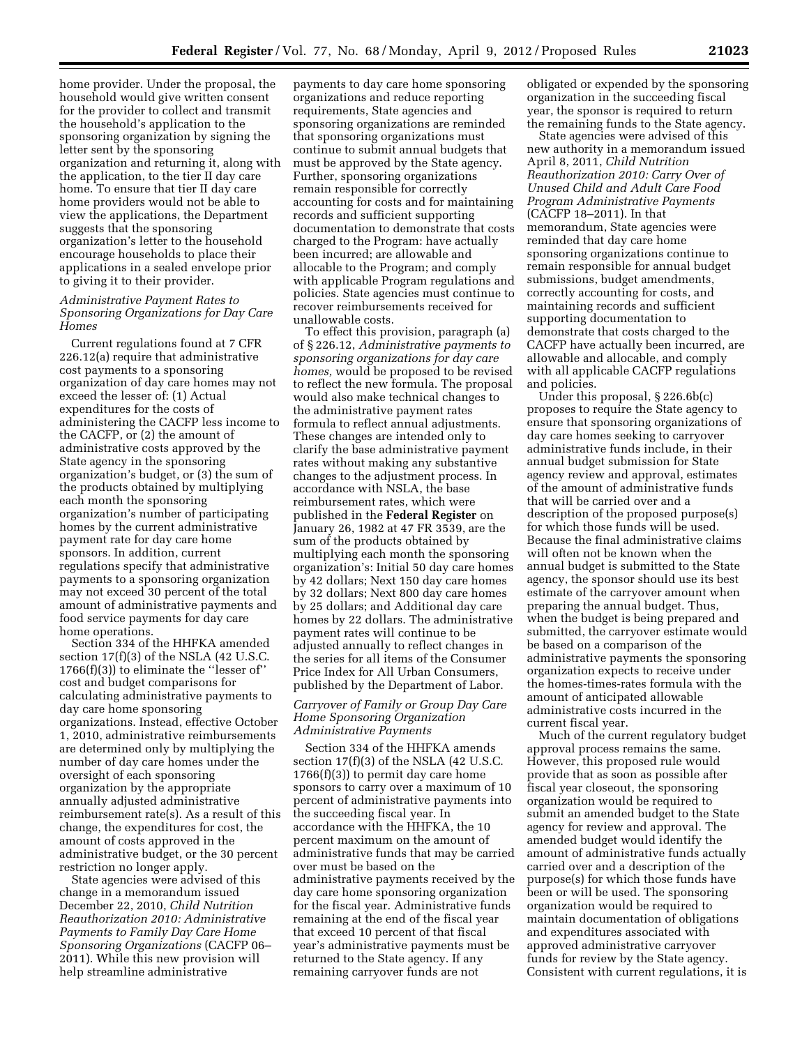home provider. Under the proposal, the household would give written consent for the provider to collect and transmit the household's application to the sponsoring organization by signing the letter sent by the sponsoring organization and returning it, along with the application, to the tier II day care home. To ensure that tier II day care home providers would not be able to view the applications, the Department suggests that the sponsoring organization's letter to the household encourage households to place their applications in a sealed envelope prior to giving it to their provider.

# *Administrative Payment Rates to Sponsoring Organizations for Day Care Homes*

Current regulations found at 7 CFR 226.12(a) require that administrative cost payments to a sponsoring organization of day care homes may not exceed the lesser of: (1) Actual expenditures for the costs of administering the CACFP less income to the CACFP, or (2) the amount of administrative costs approved by the State agency in the sponsoring organization's budget, or (3) the sum of the products obtained by multiplying each month the sponsoring organization's number of participating homes by the current administrative payment rate for day care home sponsors. In addition, current regulations specify that administrative payments to a sponsoring organization may not exceed 30 percent of the total amount of administrative payments and food service payments for day care home operations.

Section 334 of the HHFKA amended section 17(f)(3) of the NSLA (42 U.S.C. 1766(f)(3)) to eliminate the ''lesser of'' cost and budget comparisons for calculating administrative payments to day care home sponsoring organizations. Instead, effective October 1, 2010, administrative reimbursements are determined only by multiplying the number of day care homes under the oversight of each sponsoring organization by the appropriate annually adjusted administrative reimbursement rate(s). As a result of this change, the expenditures for cost, the amount of costs approved in the administrative budget, or the 30 percent restriction no longer apply.

State agencies were advised of this change in a memorandum issued December 22, 2010, *Child Nutrition Reauthorization 2010: Administrative Payments to Family Day Care Home Sponsoring Organizations* (CACFP 06– 2011). While this new provision will help streamline administrative

payments to day care home sponsoring organizations and reduce reporting requirements, State agencies and sponsoring organizations are reminded that sponsoring organizations must continue to submit annual budgets that must be approved by the State agency. Further, sponsoring organizations remain responsible for correctly accounting for costs and for maintaining records and sufficient supporting documentation to demonstrate that costs charged to the Program: have actually been incurred; are allowable and allocable to the Program; and comply with applicable Program regulations and policies. State agencies must continue to recover reimbursements received for unallowable costs.

To effect this provision, paragraph (a) of § 226.12, *Administrative payments to sponsoring organizations for day care homes,* would be proposed to be revised to reflect the new formula. The proposal would also make technical changes to the administrative payment rates formula to reflect annual adjustments. These changes are intended only to clarify the base administrative payment rates without making any substantive changes to the adjustment process. In accordance with NSLA, the base reimbursement rates, which were published in the **Federal Register** on January 26, 1982 at 47 FR 3539, are the sum of the products obtained by multiplying each month the sponsoring organization's: Initial 50 day care homes by 42 dollars; Next 150 day care homes by 32 dollars; Next 800 day care homes by 25 dollars; and Additional day care homes by 22 dollars. The administrative payment rates will continue to be adjusted annually to reflect changes in the series for all items of the Consumer Price Index for All Urban Consumers, published by the Department of Labor.

# *Carryover of Family or Group Day Care Home Sponsoring Organization Administrative Payments*

Section 334 of the HHFKA amends section 17(f)(3) of the NSLA (42 U.S.C. 1766(f)(3)) to permit day care home sponsors to carry over a maximum of 10 percent of administrative payments into the succeeding fiscal year. In accordance with the HHFKA, the 10 percent maximum on the amount of administrative funds that may be carried over must be based on the administrative payments received by the day care home sponsoring organization for the fiscal year. Administrative funds remaining at the end of the fiscal year that exceed 10 percent of that fiscal year's administrative payments must be returned to the State agency. If any remaining carryover funds are not

obligated or expended by the sponsoring organization in the succeeding fiscal year, the sponsor is required to return the remaining funds to the State agency.

State agencies were advised of this new authority in a memorandum issued April 8, 2011, *Child Nutrition Reauthorization 2010: Carry Over of Unused Child and Adult Care Food Program Administrative Payments*  (CACFP 18–2011). In that memorandum, State agencies were reminded that day care home sponsoring organizations continue to remain responsible for annual budget submissions, budget amendments, correctly accounting for costs, and maintaining records and sufficient supporting documentation to demonstrate that costs charged to the CACFP have actually been incurred, are allowable and allocable, and comply with all applicable CACFP regulations and policies.

Under this proposal, § 226.6b(c) proposes to require the State agency to ensure that sponsoring organizations of day care homes seeking to carryover administrative funds include, in their annual budget submission for State agency review and approval, estimates of the amount of administrative funds that will be carried over and a description of the proposed purpose(s) for which those funds will be used. Because the final administrative claims will often not be known when the annual budget is submitted to the State agency, the sponsor should use its best estimate of the carryover amount when preparing the annual budget. Thus, when the budget is being prepared and submitted, the carryover estimate would be based on a comparison of the administrative payments the sponsoring organization expects to receive under the homes-times-rates formula with the amount of anticipated allowable administrative costs incurred in the current fiscal year.

Much of the current regulatory budget approval process remains the same. However, this proposed rule would provide that as soon as possible after fiscal year closeout, the sponsoring organization would be required to submit an amended budget to the State agency for review and approval. The amended budget would identify the amount of administrative funds actually carried over and a description of the purpose(s) for which those funds have been or will be used. The sponsoring organization would be required to maintain documentation of obligations and expenditures associated with approved administrative carryover funds for review by the State agency. Consistent with current regulations, it is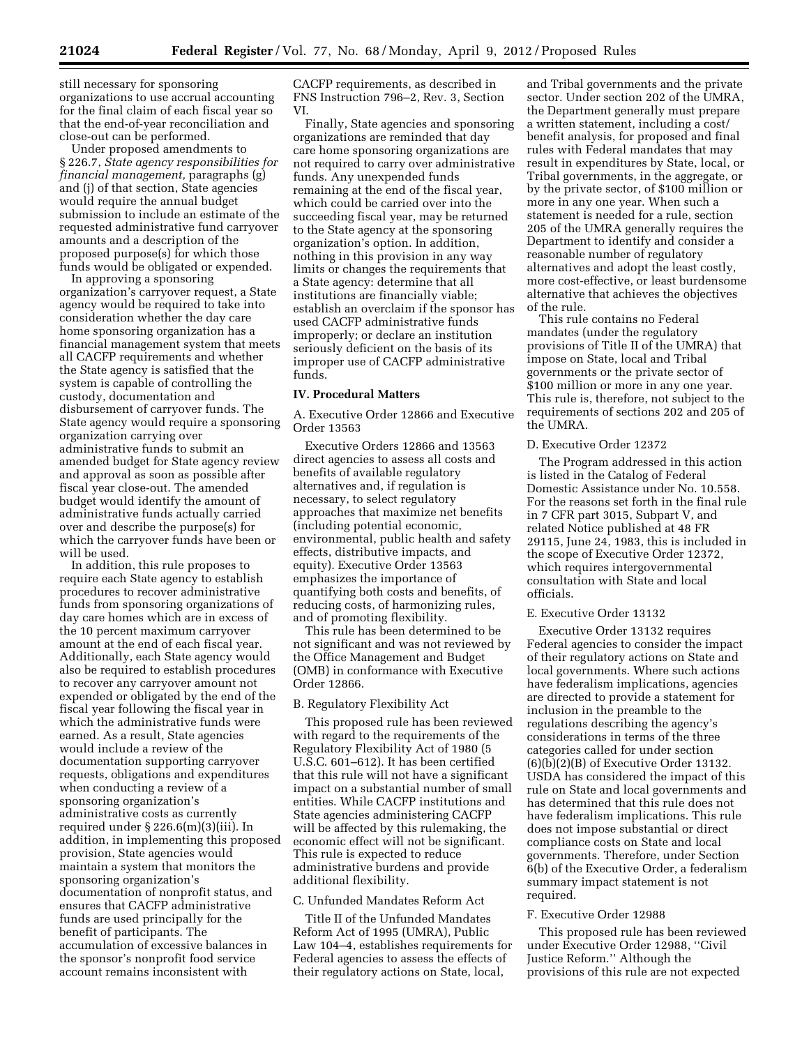still necessary for sponsoring organizations to use accrual accounting for the final claim of each fiscal year so that the end-of-year reconciliation and close-out can be performed.

Under proposed amendments to § 226.7, *State agency responsibilities for financial management,* paragraphs (g) and (j) of that section, State agencies would require the annual budget submission to include an estimate of the requested administrative fund carryover amounts and a description of the proposed purpose(s) for which those funds would be obligated or expended.

In approving a sponsoring organization's carryover request, a State agency would be required to take into consideration whether the day care home sponsoring organization has a financial management system that meets all CACFP requirements and whether the State agency is satisfied that the system is capable of controlling the custody, documentation and disbursement of carryover funds. The State agency would require a sponsoring organization carrying over administrative funds to submit an amended budget for State agency review and approval as soon as possible after fiscal year close-out. The amended budget would identify the amount of administrative funds actually carried over and describe the purpose(s) for which the carryover funds have been or will be used.

In addition, this rule proposes to require each State agency to establish procedures to recover administrative funds from sponsoring organizations of day care homes which are in excess of the 10 percent maximum carryover amount at the end of each fiscal year. Additionally, each State agency would also be required to establish procedures to recover any carryover amount not expended or obligated by the end of the fiscal year following the fiscal year in which the administrative funds were earned. As a result, State agencies would include a review of the documentation supporting carryover requests, obligations and expenditures when conducting a review of a sponsoring organization's administrative costs as currently required under § 226.6(m)(3)(iii). In addition, in implementing this proposed provision, State agencies would maintain a system that monitors the sponsoring organization's documentation of nonprofit status, and ensures that CACFP administrative funds are used principally for the benefit of participants. The accumulation of excessive balances in the sponsor's nonprofit food service account remains inconsistent with

CACFP requirements, as described in FNS Instruction 796–2, Rev. 3, Section VI.

Finally, State agencies and sponsoring organizations are reminded that day care home sponsoring organizations are not required to carry over administrative funds. Any unexpended funds remaining at the end of the fiscal year, which could be carried over into the succeeding fiscal year, may be returned to the State agency at the sponsoring organization's option. In addition, nothing in this provision in any way limits or changes the requirements that a State agency: determine that all institutions are financially viable; establish an overclaim if the sponsor has used CACFP administrative funds improperly; or declare an institution seriously deficient on the basis of its improper use of CACFP administrative funds.

# **IV. Procedural Matters**

A. Executive Order 12866 and Executive Order 13563

Executive Orders 12866 and 13563 direct agencies to assess all costs and benefits of available regulatory alternatives and, if regulation is necessary, to select regulatory approaches that maximize net benefits (including potential economic, environmental, public health and safety effects, distributive impacts, and equity). Executive Order 13563 emphasizes the importance of quantifying both costs and benefits, of reducing costs, of harmonizing rules, and of promoting flexibility.

This rule has been determined to be not significant and was not reviewed by the Office Management and Budget (OMB) in conformance with Executive Order 12866.

## B. Regulatory Flexibility Act

This proposed rule has been reviewed with regard to the requirements of the Regulatory Flexibility Act of 1980 (5 U.S.C. 601–612). It has been certified that this rule will not have a significant impact on a substantial number of small entities. While CACFP institutions and State agencies administering CACFP will be affected by this rulemaking, the economic effect will not be significant. This rule is expected to reduce administrative burdens and provide additional flexibility.

# C. Unfunded Mandates Reform Act

Title II of the Unfunded Mandates Reform Act of 1995 (UMRA), Public Law 104–4, establishes requirements for Federal agencies to assess the effects of their regulatory actions on State, local,

and Tribal governments and the private sector. Under section 202 of the UMRA, the Department generally must prepare a written statement, including a cost/ benefit analysis, for proposed and final rules with Federal mandates that may result in expenditures by State, local, or Tribal governments, in the aggregate, or by the private sector, of \$100 million or more in any one year. When such a statement is needed for a rule, section 205 of the UMRA generally requires the Department to identify and consider a reasonable number of regulatory alternatives and adopt the least costly, more cost-effective, or least burdensome alternative that achieves the objectives of the rule.

This rule contains no Federal mandates (under the regulatory provisions of Title II of the UMRA) that impose on State, local and Tribal governments or the private sector of \$100 million or more in any one year. This rule is, therefore, not subject to the requirements of sections 202 and 205 of the UMRA.

## D. Executive Order 12372

The Program addressed in this action is listed in the Catalog of Federal Domestic Assistance under No. 10.558. For the reasons set forth in the final rule in 7 CFR part 3015, Subpart V, and related Notice published at 48 FR 29115, June 24, 1983, this is included in the scope of Executive Order 12372, which requires intergovernmental consultation with State and local officials.

# E. Executive Order 13132

Executive Order 13132 requires Federal agencies to consider the impact of their regulatory actions on State and local governments. Where such actions have federalism implications, agencies are directed to provide a statement for inclusion in the preamble to the regulations describing the agency's considerations in terms of the three categories called for under section (6)(b)(2)(B) of Executive Order 13132. USDA has considered the impact of this rule on State and local governments and has determined that this rule does not have federalism implications. This rule does not impose substantial or direct compliance costs on State and local governments. Therefore, under Section 6(b) of the Executive Order, a federalism summary impact statement is not required.

## F. Executive Order 12988

This proposed rule has been reviewed under Executive Order 12988, ''Civil Justice Reform.'' Although the provisions of this rule are not expected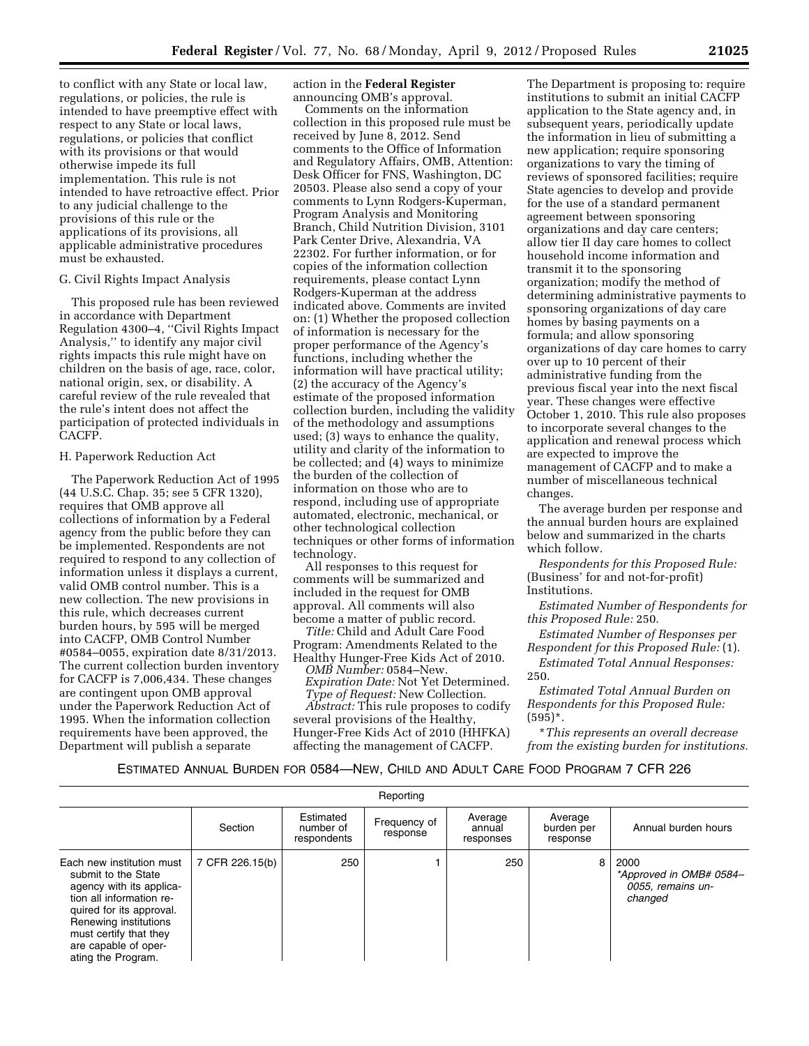to conflict with any State or local law, regulations, or policies, the rule is intended to have preemptive effect with respect to any State or local laws, regulations, or policies that conflict with its provisions or that would otherwise impede its full implementation. This rule is not intended to have retroactive effect. Prior to any judicial challenge to the provisions of this rule or the applications of its provisions, all applicable administrative procedures must be exhausted.

## G. Civil Rights Impact Analysis

This proposed rule has been reviewed in accordance with Department Regulation 4300–4, ''Civil Rights Impact Analysis,'' to identify any major civil rights impacts this rule might have on children on the basis of age, race, color, national origin, sex, or disability. A careful review of the rule revealed that the rule's intent does not affect the participation of protected individuals in CACFP.

## H. Paperwork Reduction Act

The Paperwork Reduction Act of 1995 (44 U.S.C. Chap. 35; see 5 CFR 1320), requires that OMB approve all collections of information by a Federal agency from the public before they can be implemented. Respondents are not required to respond to any collection of information unless it displays a current, valid OMB control number. This is a new collection. The new provisions in this rule, which decreases current burden hours, by 595 will be merged into CACFP, OMB Control Number #0584–0055, expiration date 8/31/2013. The current collection burden inventory for CACFP is 7,006,434. These changes are contingent upon OMB approval under the Paperwork Reduction Act of 1995. When the information collection requirements have been approved, the Department will publish a separate

action in the **Federal Register**  announcing OMB's approval.

Comments on the information collection in this proposed rule must be received by June 8, 2012. Send comments to the Office of Information and Regulatory Affairs, OMB, Attention: Desk Officer for FNS, Washington, DC 20503. Please also send a copy of your comments to Lynn Rodgers-Kuperman, Program Analysis and Monitoring Branch, Child Nutrition Division, 3101 Park Center Drive, Alexandria, VA 22302. For further information, or for copies of the information collection requirements, please contact Lynn Rodgers-Kuperman at the address indicated above. Comments are invited on: (1) Whether the proposed collection of information is necessary for the proper performance of the Agency's functions, including whether the information will have practical utility; (2) the accuracy of the Agency's estimate of the proposed information collection burden, including the validity of the methodology and assumptions used; (3) ways to enhance the quality, utility and clarity of the information to be collected; and (4) ways to minimize the burden of the collection of information on those who are to respond, including use of appropriate automated, electronic, mechanical, or other technological collection techniques or other forms of information technology.

All responses to this request for comments will be summarized and included in the request for OMB approval. All comments will also become a matter of public record.

*Title:* Child and Adult Care Food Program: Amendments Related to the Healthy Hunger-Free Kids Act of 2010.

*OMB Number:* 0584–New. *Expiration Date:* Not Yet Determined. *Type of Request:* New Collection.

*Abstract:* This rule proposes to codify several provisions of the Healthy, Hunger-Free Kids Act of 2010 (HHFKA) affecting the management of CACFP.

The Department is proposing to: require institutions to submit an initial CACFP application to the State agency and, in subsequent years, periodically update the information in lieu of submitting a new application; require sponsoring organizations to vary the timing of reviews of sponsored facilities; require State agencies to develop and provide for the use of a standard permanent agreement between sponsoring organizations and day care centers; allow tier II day care homes to collect household income information and transmit it to the sponsoring organization; modify the method of determining administrative payments to sponsoring organizations of day care homes by basing payments on a formula; and allow sponsoring organizations of day care homes to carry over up to 10 percent of their administrative funding from the previous fiscal year into the next fiscal year. These changes were effective October 1, 2010. This rule also proposes to incorporate several changes to the application and renewal process which are expected to improve the management of CACFP and to make a number of miscellaneous technical changes.

The average burden per response and the annual burden hours are explained below and summarized in the charts which follow.

*Respondents for this Proposed Rule:*  (Business' for and not-for-profit) Institutions.

*Estimated Number of Respondents for this Proposed Rule:* 250.

*Estimated Number of Responses per Respondent for this Proposed Rule:* (1).

*Estimated Total Annual Responses:*  250.

*Estimated Total Annual Burden on Respondents for this Proposed Rule:*  (595)\*.

\**This represents an overall decrease from the existing burden for institutions.* 

# ESTIMATED ANNUAL BURDEN FOR 0584—NEW, CHILD AND ADULT CARE FOOD PROGRAM 7 CFR 226

| Reporting                                                                                                                                                                                                                             |                 |                                       |                          |                                |                                   |                                                                 |
|---------------------------------------------------------------------------------------------------------------------------------------------------------------------------------------------------------------------------------------|-----------------|---------------------------------------|--------------------------|--------------------------------|-----------------------------------|-----------------------------------------------------------------|
|                                                                                                                                                                                                                                       | Section         | Estimated<br>number of<br>respondents | Frequency of<br>response | Average<br>annual<br>responses | Average<br>burden per<br>response | Annual burden hours                                             |
| Each new institution must<br>submit to the State<br>agency with its applica-<br>tion all information re-<br>quired for its approval.<br>Renewing institutions<br>must certify that they<br>are capable of oper-<br>ating the Program. | 7 CFR 226.15(b) | 250                                   |                          | 250                            | 8                                 | 2000<br>*Approved in OMB# 0584-<br>0055, remains un-<br>changed |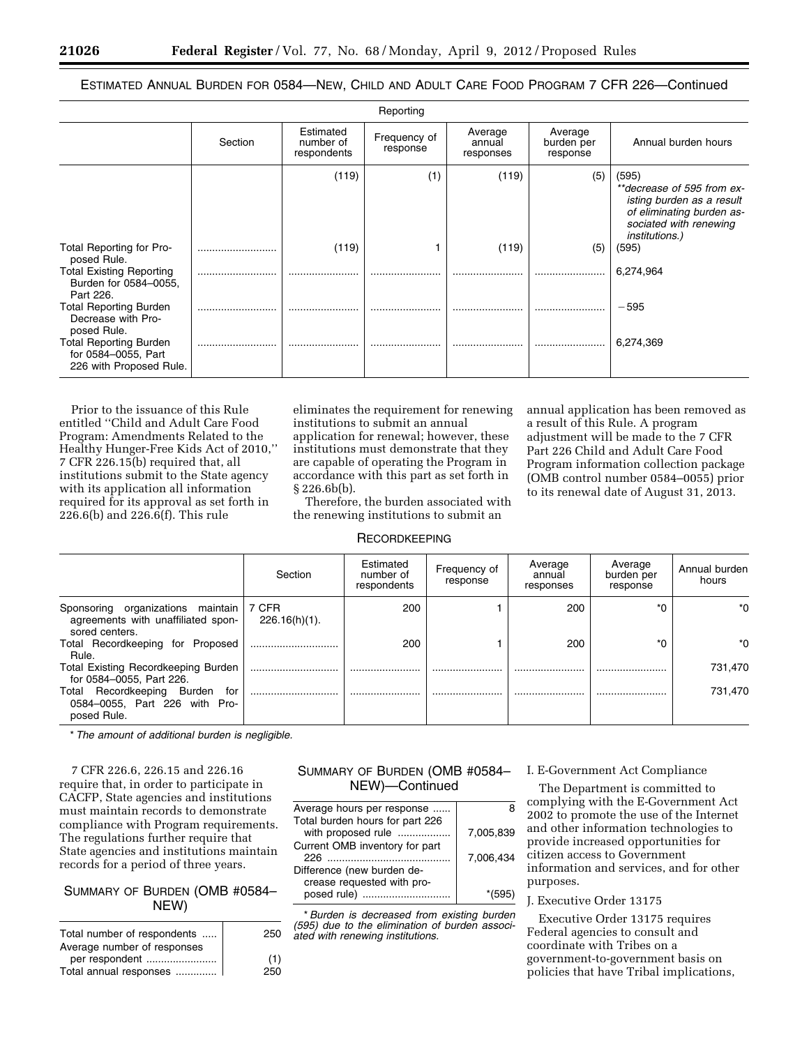# ESTIMATED ANNUAL BURDEN FOR 0584—NEW, CHILD AND ADULT CARE FOOD PROGRAM 7 CFR 226—Continued

|                                                                                 |         |                                       | Reporting                |                                |                                   |                                                                                                                                                  |
|---------------------------------------------------------------------------------|---------|---------------------------------------|--------------------------|--------------------------------|-----------------------------------|--------------------------------------------------------------------------------------------------------------------------------------------------|
|                                                                                 | Section | Estimated<br>number of<br>respondents | Frequency of<br>response | Average<br>annual<br>responses | Average<br>burden per<br>response | Annual burden hours                                                                                                                              |
|                                                                                 |         | (119)                                 | (1)                      | (119)                          | (5)                               | (595)<br>**decrease of 595 from ex-<br>isting burden as a result<br>of eliminating burden as-<br>sociated with renewing<br><i>institutions.)</i> |
| Total Reporting for Pro-<br>posed Rule.                                         |         | (119)                                 |                          | (119)                          | (5)                               | (595)                                                                                                                                            |
| <b>Total Existing Reporting</b><br>Burden for 0584-0055.<br>Part 226.           |         |                                       |                          | .<br>                          |                                   | 6,274,964                                                                                                                                        |
| <b>Total Reporting Burden</b><br>Decrease with Pro-<br>posed Rule.              |         |                                       |                          |                                |                                   | $-595$                                                                                                                                           |
| <b>Total Reporting Burden</b><br>for 0584-0055, Part<br>226 with Proposed Rule. |         |                                       |                          |                                |                                   | 6,274,369                                                                                                                                        |

Prior to the issuance of this Rule entitled ''Child and Adult Care Food Program: Amendments Related to the Healthy Hunger-Free Kids Act of 2010,'' 7 CFR 226.15(b) required that, all institutions submit to the State agency with its application all information required for its approval as set forth in 226.6(b) and 226.6(f). This rule

eliminates the requirement for renewing institutions to submit an annual application for renewal; however, these institutions must demonstrate that they are capable of operating the Program in accordance with this part as set forth in § 226.6b(b).

Therefore, the burden associated with the renewing institutions to submit an

annual application has been removed as a result of this Rule. A program adjustment will be made to the 7 CFR Part 226 Child and Adult Care Food Program information collection package (OMB control number 0584–0055) prior to its renewal date of August 31, 2013.

# **RECORDKEEPING**

|                                                                                           | Section                   | Estimated<br>number of<br>respondents | Frequency of<br>response | Average<br>annual<br>responses | Average<br>burden per<br>response | Annual burden<br>hours |
|-------------------------------------------------------------------------------------------|---------------------------|---------------------------------------|--------------------------|--------------------------------|-----------------------------------|------------------------|
| Sponsoring organizations maintain<br>agreements with unaffiliated spon-<br>sored centers. | 7 CFR<br>$226.16(h)(1)$ . | 200                                   |                          | 200                            | ۰'n                               | ∗∩                     |
| Total Recordkeeping for Proposed<br>Rule.                                                 |                           | 200                                   |                          | 200                            |                                   | ∗∩                     |
| Total Existing Recordkeeping Burden<br>for 0584-0055, Part 226.                           |                           |                                       |                          |                                |                                   | 731,470                |
| Total Recordkeeping<br>Burden<br>for<br>0584-0055, Part 226 with Pro-<br>posed Rule.      |                           |                                       |                          |                                |                                   | 731,470                |

\* *The amount of additional burden is negligible.* 

7 CFR 226.6, 226.15 and 226.16 require that, in order to participate in CACFP, State agencies and institutions must maintain records to demonstrate compliance with Program requirements. The regulations further require that State agencies and institutions maintain records for a period of three years.

# SUMMARY OF BURDEN (OMB #0584– NEW)

| Total number of respondents | 250 |
|-----------------------------|-----|
| Average number of responses |     |
| per respondent              | (1) |
| Total annual responses      | 250 |
|                             |     |

# SUMMARY OF BURDEN (OMB #0584– NEW)—Continued

|           | Average hours per response                            |
|-----------|-------------------------------------------------------|
| 7.005.839 | Total burden hours for part 226<br>with proposed rule |
|           | Current OMB inventory for part                        |
| 7.006.434 | 226                                                   |
|           | Difference (new burden de-                            |
|           | crease requested with pro-                            |
|           | posed rule)                                           |

\**Burden is decreased from existing burden (595) due to the elimination of burden associated with renewing institutions.* 

# I. E-Government Act Compliance

The Department is committed to complying with the E-Government Act 2002 to promote the use of the Internet and other information technologies to provide increased opportunities for citizen access to Government information and services, and for other purposes.

## J. Executive Order 13175

Executive Order 13175 requires Federal agencies to consult and coordinate with Tribes on a government-to-government basis on policies that have Tribal implications,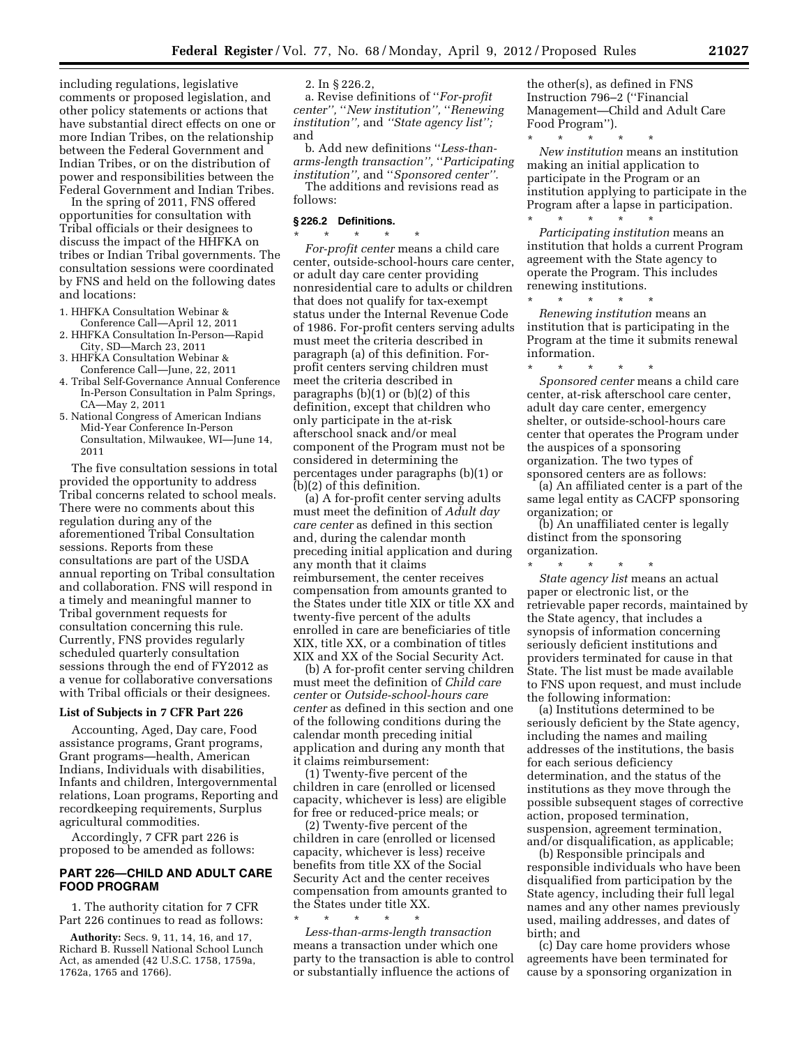including regulations, legislative comments or proposed legislation, and other policy statements or actions that have substantial direct effects on one or more Indian Tribes, on the relationship between the Federal Government and Indian Tribes, or on the distribution of power and responsibilities between the Federal Government and Indian Tribes.

In the spring of 2011, FNS offered opportunities for consultation with Tribal officials or their designees to discuss the impact of the HHFKA on tribes or Indian Tribal governments. The consultation sessions were coordinated by FNS and held on the following dates and locations:

- 1. HHFKA Consultation Webinar &
- Conference Call—April 12, 2011 2. HHFKA Consultation In-Person—Rapid City, SD—March 23, 2011
- 3. HHFKA Consultation Webinar & Conference Call—June, 22, 2011
- 4. Tribal Self-Governance Annual Conference In-Person Consultation in Palm Springs, CA—May 2, 2011
- 5. National Congress of American Indians Mid-Year Conference In-Person Consultation, Milwaukee, WI—June 14, 2011

The five consultation sessions in total provided the opportunity to address Tribal concerns related to school meals. There were no comments about this regulation during any of the aforementioned Tribal Consultation sessions. Reports from these consultations are part of the USDA annual reporting on Tribal consultation and collaboration. FNS will respond in a timely and meaningful manner to Tribal government requests for consultation concerning this rule. Currently, FNS provides regularly scheduled quarterly consultation sessions through the end of FY2012 as a venue for collaborative conversations with Tribal officials or their designees.

### **List of Subjects in 7 CFR Part 226**

Accounting, Aged, Day care, Food assistance programs, Grant programs, Grant programs—health, American Indians, Individuals with disabilities, Infants and children, Intergovernmental relations, Loan programs, Reporting and recordkeeping requirements, Surplus agricultural commodities.

Accordingly, 7 CFR part 226 is proposed to be amended as follows:

## **PART 226—CHILD AND ADULT CARE FOOD PROGRAM**

1. The authority citation for 7 CFR Part 226 continues to read as follows:

**Authority:** Secs. 9, 11, 14, 16, and 17, Richard B. Russell National School Lunch Act, as amended (42 U.S.C. 1758, 1759a, 1762a, 1765 and 1766).

2. In § 226.2,

a. Revise definitions of ''*For-profit center'',* ''*New institution'',* ''*Renewing institution'',* and *''State agency list'';*  and

b. Add new definitions ''*Less-thanarms-length transaction'',* ''*Participating institution'',* and ''*Sponsored center''.* 

The additions and revisions read as follows:

## **§ 226.2 Definitions.**

\* \* \* \* \* *For-profit center* means a child care center, outside-school-hours care center, or adult day care center providing nonresidential care to adults or children that does not qualify for tax-exempt status under the Internal Revenue Code of 1986. For-profit centers serving adults must meet the criteria described in paragraph (a) of this definition. Forprofit centers serving children must meet the criteria described in paragraphs  $(b)(1)$  or  $(b)(2)$  of this definition, except that children who only participate in the at-risk afterschool snack and/or meal component of the Program must not be considered in determining the percentages under paragraphs (b)(1) or (b)(2) of this definition.

(a) A for-profit center serving adults must meet the definition of *Adult day care center* as defined in this section and, during the calendar month preceding initial application and during any month that it claims reimbursement, the center receives compensation from amounts granted to the States under title XIX or title XX and twenty-five percent of the adults enrolled in care are beneficiaries of title XIX, title XX, or a combination of titles XIX and XX of the Social Security Act.

(b) A for-profit center serving children must meet the definition of *Child care center* or *Outside-school-hours care center* as defined in this section and one of the following conditions during the calendar month preceding initial application and during any month that it claims reimbursement:

(1) Twenty-five percent of the children in care (enrolled or licensed capacity, whichever is less) are eligible for free or reduced-price meals; or

(2) Twenty-five percent of the children in care (enrolled or licensed capacity, whichever is less) receive benefits from title XX of the Social Security Act and the center receives compensation from amounts granted to the States under title XX.

\* \* \* \* \* *Less-than-arms-length transaction*  means a transaction under which one party to the transaction is able to control or substantially influence the actions of

the other(s), as defined in FNS Instruction 796–2 (''Financial Management—Child and Adult Care Food Program'').

\* \* \* \* \* *New institution* means an institution making an initial application to participate in the Program or an institution applying to participate in the Program after a lapse in participation. \* \* \* \* \*

*Participating institution* means an institution that holds a current Program agreement with the State agency to operate the Program. This includes renewing institutions.

\* \* \* \* \* *Renewing institution* means an institution that is participating in the Program at the time it submits renewal information.

\* \* \* \* \* *Sponsored center* means a child care center, at-risk afterschool care center, adult day care center, emergency shelter, or outside-school-hours care center that operates the Program under the auspices of a sponsoring organization. The two types of sponsored centers are as follows:

(a) An affiliated center is a part of the same legal entity as CACFP sponsoring organization; or

(b) An unaffiliated center is legally distinct from the sponsoring organization.

\* \* \* \* \*

*State agency list* means an actual paper or electronic list, or the retrievable paper records, maintained by the State agency, that includes a synopsis of information concerning seriously deficient institutions and providers terminated for cause in that State. The list must be made available to FNS upon request, and must include the following information:

(a) Institutions determined to be seriously deficient by the State agency, including the names and mailing addresses of the institutions, the basis for each serious deficiency determination, and the status of the institutions as they move through the possible subsequent stages of corrective action, proposed termination, suspension, agreement termination, and/or disqualification, as applicable;

(b) Responsible principals and responsible individuals who have been disqualified from participation by the State agency, including their full legal names and any other names previously used, mailing addresses, and dates of birth; and

(c) Day care home providers whose agreements have been terminated for cause by a sponsoring organization in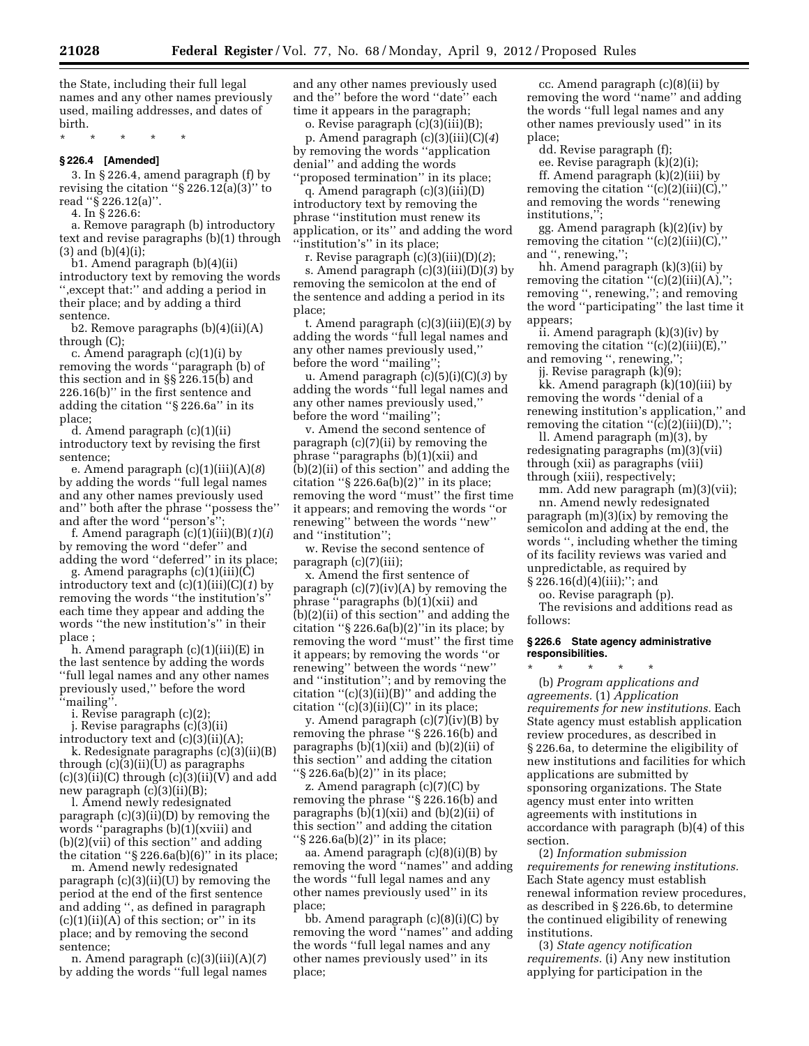the State, including their full legal names and any other names previously used, mailing addresses, and dates of birth.

\* \* \* \* \*

## **§ 226.4 [Amended]**

3. In § 226.4, amend paragraph (f) by revising the citation " $\S 226.12(a)(3)$ " to read ''§ 226.12(a)''.

4. In § 226.6:

a. Remove paragraph (b) introductory text and revise paragraphs (b)(1) through  $(3)$  and  $(b)(4)(i);$ 

b1. Amend paragraph (b)(4)(ii) introductory text by removing the words '',except that:'' and adding a period in their place; and by adding a third sentence.

b2. Remove paragraphs  $(b)(4)(ii)(A)$ through (C);

c. Amend paragraph (c)(1)(i) by removing the words ''paragraph (b) of this section and in §§ 226.15(b) and 226.16(b)'' in the first sentence and adding the citation ''§ 226.6a'' in its place;

d. Amend paragraph (c)(1)(ii) introductory text by revising the first sentence;

e. Amend paragraph (c)(1)(iii)(A)(*8*) by adding the words ''full legal names and any other names previously used and'' both after the phrase ''possess the'' and after the word ''person's'';

f. Amend paragraph (c)(1)(iii)(B)(*1*)(*i*) by removing the word ''defer'' and adding the word ''deferred'' in its place;

g. Amend paragraphs (c)(1)(iii)(C) introductory text and (c)(1)(iii)(C)(*1*) by removing the words ''the institution's'' each time they appear and adding the words ''the new institution's'' in their place ;

h. Amend paragraph (c)(1)(iii)(E) in the last sentence by adding the words ''full legal names and any other names previously used,'' before the word ''mailing''.

i. Revise paragraph (c)(2);

j. Revise paragraphs (c)(3)(ii)

introductory text and  $(c)(3)(ii)(A)$ ; k. Redesignate paragraphs (c)(3)(ii)(B) through (c)(3)(ii)(U) as paragraphs  $(c)(3)(ii)(C)$  through  $(c)(3)(ii)(V)$  and add new paragraph (c)(3)(ii)(B);

l. Amend newly redesignated paragraph (c)(3)(ii)(D) by removing the words ''paragraphs (b)(1)(xviii) and (b)(2)(vii) of this section'' and adding the citation " $\S 226.6a(b)(6)$ " in its place;

m. Amend newly redesignated paragraph (c)(3)(ii)(U) by removing the period at the end of the first sentence and adding '', as defined in paragraph  $(c)(1)(ii)(A)$  of this section; or" in its place; and by removing the second sentence;

n. Amend paragraph (c)(3)(iii)(A)(*7*) by adding the words ''full legal names and any other names previously used and the'' before the word ''date'' each time it appears in the paragraph;

o. Revise paragraph (c)(3)(iii)(B); p. Amend paragraph (c)(3)(iii)(C)(*4*) by removing the words ''application denial'' and adding the words ''proposed termination'' in its place;

q. Amend paragraph (c)(3)(iii)(D) introductory text by removing the phrase ''institution must renew its application, or its'' and adding the word ''institution's'' in its place;

r. Revise paragraph (c)(3)(iii)(D)(*2*); s. Amend paragraph (c)(3)(iii)(D)(*3*) by removing the semicolon at the end of the sentence and adding a period in its place;

t. Amend paragraph (c)(3)(iii)(E)(*3*) by adding the words ''full legal names and any other names previously used,'' before the word "mailing";

u. Amend paragraph (c)(5)(i)(C)(*3*) by adding the words ''full legal names and any other names previously used,'' before the word "mailing";

v. Amend the second sentence of paragraph (c)(7)(ii) by removing the phrase ''paragraphs (b)(1)(xii) and (b)(2)(ii) of this section'' and adding the citation " $\S 226.6a(b)(2)$ " in its place; removing the word ''must'' the first time it appears; and removing the words ''or renewing'' between the words ''new'' and ''institution'';

w. Revise the second sentence of paragraph (c)(7)(iii);

x. Amend the first sentence of paragraph  $(c)(7)(iv)(A)$  by removing the phrase ''paragraphs (b)(1)(xii) and (b)(2)(ii) of this section'' and adding the citation " $\S 226.6a(b)(2)$ " in its place; by removing the word ''must'' the first time it appears; by removing the words ''or renewing'' between the words ''new'' and ''institution''; and by removing the citation ''(c)(3)(ii)(B)'' and adding the citation  $\cdot$  (c)(3)(ii)(C)'' in its place;

y. Amend paragraph (c)(7)(iv)(B) by removing the phrase ''§ 226.16(b) and paragraphs (b)(1)(xii) and (b)(2)(ii) of this section'' and adding the citation ''§ 226.6a(b)(2)'' in its place;

z. Amend paragraph (c)(7)(C) by removing the phrase ''§ 226.16(b) and paragraphs  $(b)(1)(xii)$  and  $(b)(2)(ii)$  of this section'' and adding the citation ''§ 226.6a(b)(2)'' in its place;

aa. Amend paragraph (c)(8)(i)(B) by removing the word ''names'' and adding the words ''full legal names and any other names previously used'' in its place;

bb. Amend paragraph (c)(8)(i)(C) by removing the word ''names'' and adding the words ''full legal names and any other names previously used'' in its place;

cc. Amend paragraph (c)(8)(ii) by removing the word ''name'' and adding the words ''full legal names and any other names previously used'' in its place;

dd. Revise paragraph (f);

ee. Revise paragraph (k)(2)(i);

ff. Amend paragraph (k)(2)(iii) by removing the citation  $"({\rm c})(2)$ (iii)(C)," and removing the words ''renewing institutions,"

gg. Amend paragraph (k)(2)(iv) by removing the citation  $"({\rm c})(2)(iii)(C),"$ and '', renewing,'';

hh. Amend paragraph (k)(3)(ii) by removing the citation  $"({\rm c})(2)(iii)(\rm A),"$ ; removing '', renewing,''; and removing the word ''participating'' the last time it appears;

ii. Amend paragraph (k)(3)(iv) by removing the citation  $"({\rm c})(2)$ (iii)(E)," and removing '', renewing,'';

jj. Revise paragraph (k)(9); kk. Amend paragraph (k)(10)(iii) by

removing the words ''denial of a renewing institution's application,'' and removing the citation  $"({\rm c})(2)(iii)(D),";$ 

ll. Amend paragraph (m)(3), by redesignating paragraphs  $(m)(3)(vii)$ through (xii) as paragraphs (viii) through (xiii), respectively;

mm. Add new paragraph  $(m)(3)(vii)$ ; nn. Amend newly redesignated paragraph (m)(3)(ix) by removing the semicolon and adding at the end, the words '', including whether the timing of its facility reviews was varied and unpredictable, as required by  $\S 226.16(d)(4)(iii);$ "; and

oo. Revise paragraph (p).

The revisions and additions read as follows:

## **§ 226.6 State agency administrative responsibilities.**

\* \* \* \* \* (b) *Program applications and agreements.* (1) *Application requirements for new institutions.* Each State agency must establish application review procedures, as described in § 226.6a, to determine the eligibility of new institutions and facilities for which applications are submitted by sponsoring organizations. The State agency must enter into written agreements with institutions in accordance with paragraph (b)(4) of this section.

(2) *Information submission requirements for renewing institutions.*  Each State agency must establish renewal information review procedures, as described in § 226.6b, to determine the continued eligibility of renewing institutions.

(3) *State agency notification requirements.* (i) Any new institution applying for participation in the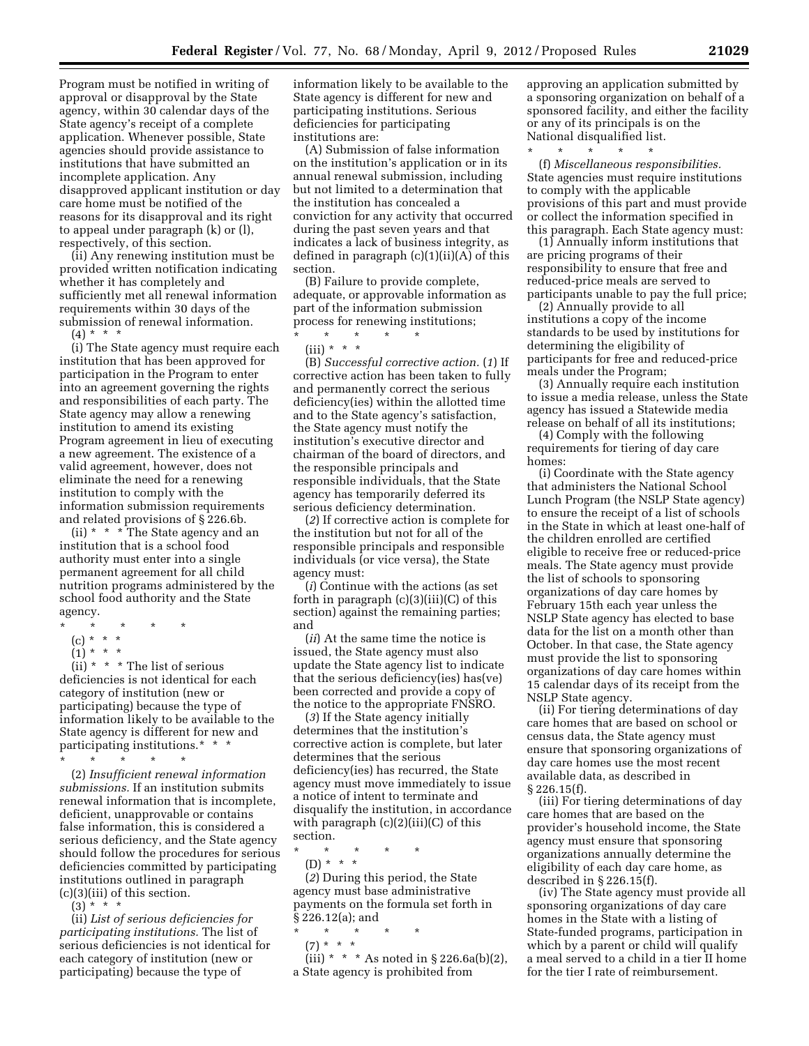Program must be notified in writing of approval or disapproval by the State agency, within 30 calendar days of the State agency's receipt of a complete application. Whenever possible, State agencies should provide assistance to institutions that have submitted an incomplete application. Any disapproved applicant institution or day care home must be notified of the reasons for its disapproval and its right to appeal under paragraph (k) or (l), respectively, of this section.

(ii) Any renewing institution must be provided written notification indicating whether it has completely and sufficiently met all renewal information requirements within 30 days of the submission of renewal information.

 $(4) * * * *$ 

(i) The State agency must require each institution that has been approved for participation in the Program to enter into an agreement governing the rights and responsibilities of each party. The State agency may allow a renewing institution to amend its existing Program agreement in lieu of executing a new agreement. The existence of a valid agreement, however, does not eliminate the need for a renewing institution to comply with the information submission requirements and related provisions of § 226.6b.

(ii) \* \* \* The State agency and an institution that is a school food authority must enter into a single permanent agreement for all child nutrition programs administered by the school food authority and the State agency.

- \* \* \* \* \*
	- (c) \* \* \*
	- $(1) * * * *$

(ii) \* \* \* The list of serious deficiencies is not identical for each category of institution (new or participating) because the type of information likely to be available to the State agency is different for new and participating institutions.\* \* \*

\* \* \* \* \*

(2) *Insufficient renewal information submissions.* If an institution submits renewal information that is incomplete, deficient, unapprovable or contains false information, this is considered a serious deficiency, and the State agency should follow the procedures for serious deficiencies committed by participating institutions outlined in paragraph (c)(3)(iii) of this section.

 $(3) * *$ 

(ii) *List of serious deficiencies for participating institutions.* The list of serious deficiencies is not identical for each category of institution (new or participating) because the type of

information likely to be available to the State agency is different for new and participating institutions. Serious deficiencies for participating institutions are:

(A) Submission of false information on the institution's application or in its annual renewal submission, including but not limited to a determination that the institution has concealed a conviction for any activity that occurred during the past seven years and that indicates a lack of business integrity, as defined in paragraph  $(c)(1)(ii)(A)$  of this section.

(B) Failure to provide complete, adequate, or approvable information as part of the information submission process for renewing institutions;

- $\star$   $\qquad$   $\star$   $\qquad$   $\star$
- $(iii) * * * *$

(B) *Successful corrective action.* (*1*) If corrective action has been taken to fully and permanently correct the serious deficiency(ies) within the allotted time and to the State agency's satisfaction, the State agency must notify the institution's executive director and chairman of the board of directors, and the responsible principals and responsible individuals, that the State agency has temporarily deferred its serious deficiency determination.

(*2*) If corrective action is complete for the institution but not for all of the responsible principals and responsible individuals (or vice versa), the State agency must:

(*i*) Continue with the actions (as set forth in paragraph (c)(3)(iii)(C) of this section) against the remaining parties; and

(*ii*) At the same time the notice is issued, the State agency must also update the State agency list to indicate that the serious deficiency(ies) has(ve) been corrected and provide a copy of the notice to the appropriate FNSRO.

(*3*) If the State agency initially determines that the institution's corrective action is complete, but later determines that the serious deficiency(ies) has recurred, the State agency must move immediately to issue a notice of intent to terminate and disqualify the institution, in accordance with paragraph  $(c)(2)(iii)(C)$  of this section.

\* \* \* \* \* (D) \* \* \*

(*2*) During this period, the State agency must base administrative payments on the formula set forth in § 226.12(a); and

- \* \* \* \* \*
- $(7) * * * *$

 $(iii) * * * As noted in § 226.6a(b)(2),$ a State agency is prohibited from

approving an application submitted by a sponsoring organization on behalf of a sponsored facility, and either the facility or any of its principals is on the National disqualified list. \* \* \* \* \*

(f) *Miscellaneous responsibilities.*  State agencies must require institutions to comply with the applicable provisions of this part and must provide or collect the information specified in this paragraph. Each State agency must:

(1) Annually inform institutions that are pricing programs of their responsibility to ensure that free and reduced-price meals are served to participants unable to pay the full price;

(2) Annually provide to all institutions a copy of the income standards to be used by institutions for determining the eligibility of participants for free and reduced-price meals under the Program;

(3) Annually require each institution to issue a media release, unless the State agency has issued a Statewide media release on behalf of all its institutions;

(4) Comply with the following requirements for tiering of day care homes:

(i) Coordinate with the State agency that administers the National School Lunch Program (the NSLP State agency) to ensure the receipt of a list of schools in the State in which at least one-half of the children enrolled are certified eligible to receive free or reduced-price meals. The State agency must provide the list of schools to sponsoring organizations of day care homes by February 15th each year unless the NSLP State agency has elected to base data for the list on a month other than October. In that case, the State agency must provide the list to sponsoring organizations of day care homes within 15 calendar days of its receipt from the NSLP State agency.

(ii) For tiering determinations of day care homes that are based on school or census data, the State agency must ensure that sponsoring organizations of day care homes use the most recent available data, as described in § 226.15(f).

(iii) For tiering determinations of day care homes that are based on the provider's household income, the State agency must ensure that sponsoring organizations annually determine the eligibility of each day care home, as described in § 226.15(f).

(iv) The State agency must provide all sponsoring organizations of day care homes in the State with a listing of State-funded programs, participation in which by a parent or child will qualify a meal served to a child in a tier II home for the tier I rate of reimbursement.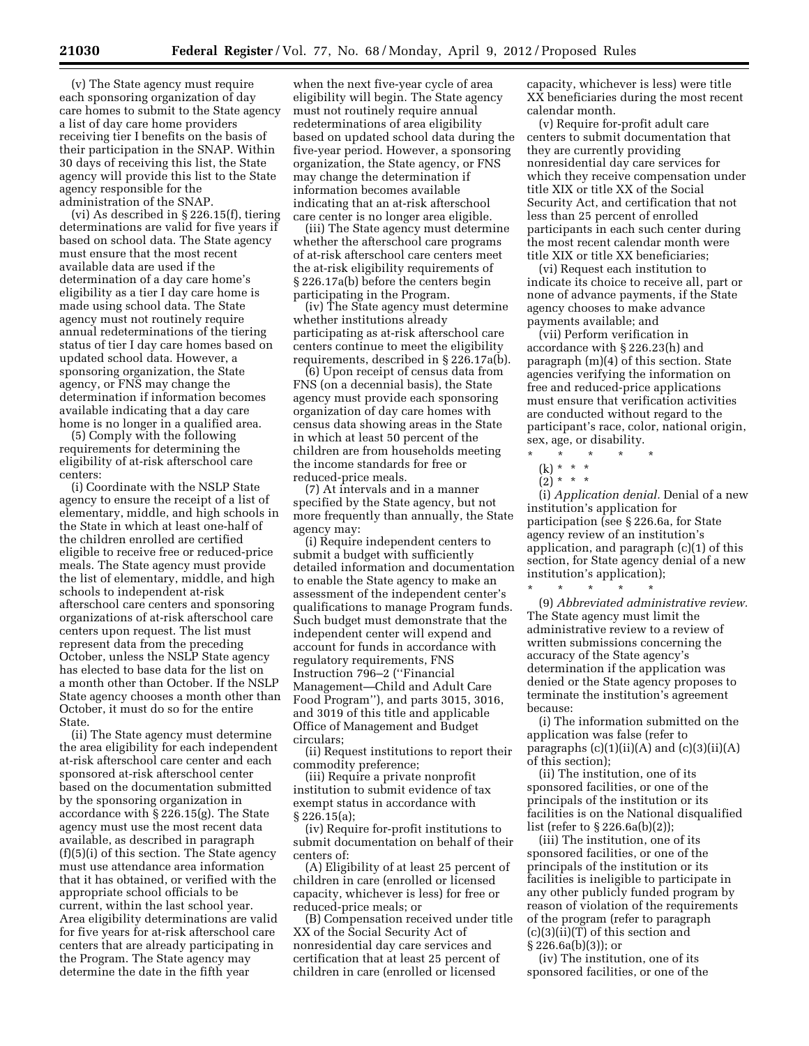(v) The State agency must require each sponsoring organization of day care homes to submit to the State agency a list of day care home providers receiving tier I benefits on the basis of their participation in the SNAP. Within 30 days of receiving this list, the State agency will provide this list to the State agency responsible for the administration of the SNAP.

(vi) As described in § 226.15(f), tiering determinations are valid for five years if based on school data. The State agency must ensure that the most recent available data are used if the determination of a day care home's eligibility as a tier I day care home is made using school data. The State agency must not routinely require annual redeterminations of the tiering status of tier I day care homes based on updated school data. However, a sponsoring organization, the State agency, or FNS may change the determination if information becomes available indicating that a day care home is no longer in a qualified area.

(5) Comply with the following requirements for determining the eligibility of at-risk afterschool care centers:

(i) Coordinate with the NSLP State agency to ensure the receipt of a list of elementary, middle, and high schools in the State in which at least one-half of the children enrolled are certified eligible to receive free or reduced-price meals. The State agency must provide the list of elementary, middle, and high schools to independent at-risk afterschool care centers and sponsoring organizations of at-risk afterschool care centers upon request. The list must represent data from the preceding October, unless the NSLP State agency has elected to base data for the list on a month other than October. If the NSLP State agency chooses a month other than October, it must do so for the entire State.

(ii) The State agency must determine the area eligibility for each independent at-risk afterschool care center and each sponsored at-risk afterschool center based on the documentation submitted by the sponsoring organization in accordance with § 226.15(g). The State agency must use the most recent data available, as described in paragraph (f)(5)(i) of this section. The State agency must use attendance area information that it has obtained, or verified with the appropriate school officials to be current, within the last school year. Area eligibility determinations are valid for five years for at-risk afterschool care centers that are already participating in the Program. The State agency may determine the date in the fifth year

when the next five-year cycle of area eligibility will begin. The State agency must not routinely require annual redeterminations of area eligibility based on updated school data during the five-year period. However, a sponsoring organization, the State agency, or FNS may change the determination if information becomes available indicating that an at-risk afterschool care center is no longer area eligible.

(iii) The State agency must determine whether the afterschool care programs of at-risk afterschool care centers meet the at-risk eligibility requirements of § 226.17a(b) before the centers begin participating in the Program.

(iv) The State agency must determine whether institutions already participating as at-risk afterschool care centers continue to meet the eligibility requirements, described in § 226.17a(b).

(6) Upon receipt of census data from FNS (on a decennial basis), the State agency must provide each sponsoring organization of day care homes with census data showing areas in the State in which at least 50 percent of the children are from households meeting the income standards for free or reduced-price meals.

(7) At intervals and in a manner specified by the State agency, but not more frequently than annually, the State agency may:

(i) Require independent centers to submit a budget with sufficiently detailed information and documentation to enable the State agency to make an assessment of the independent center's qualifications to manage Program funds. Such budget must demonstrate that the independent center will expend and account for funds in accordance with regulatory requirements, FNS Instruction 796–2 (''Financial Management—Child and Adult Care Food Program''), and parts 3015, 3016, and 3019 of this title and applicable Office of Management and Budget circulars;

(ii) Request institutions to report their commodity preference;

(iii) Require a private nonprofit institution to submit evidence of tax exempt status in accordance with § 226.15(a);

(iv) Require for-profit institutions to submit documentation on behalf of their centers of:

(A) Eligibility of at least 25 percent of children in care (enrolled or licensed capacity, whichever is less) for free or reduced-price meals; or

(B) Compensation received under title XX of the Social Security Act of nonresidential day care services and certification that at least 25 percent of children in care (enrolled or licensed

capacity, whichever is less) were title XX beneficiaries during the most recent calendar month.

(v) Require for-profit adult care centers to submit documentation that they are currently providing nonresidential day care services for which they receive compensation under title XIX or title XX of the Social Security Act, and certification that not less than 25 percent of enrolled participants in each such center during the most recent calendar month were title XIX or title XX beneficiaries;

(vi) Request each institution to indicate its choice to receive all, part or none of advance payments, if the State agency chooses to make advance payments available; and

(vii) Perform verification in accordance with § 226.23(h) and paragraph (m)(4) of this section. State agencies verifying the information on free and reduced-price applications must ensure that verification activities are conducted without regard to the participant's race, color, national origin, sex, age, or disability.

\* \* \* \* \*

 $(2) * * * *$ 

(i) *Application denial.* Denial of a new institution's application for participation (see § 226.6a, for State agency review of an institution's application, and paragraph (c)(1) of this section, for State agency denial of a new institution's application);

\* \* \* \* \* (9) *Abbreviated administrative review.*  The State agency must limit the administrative review to a review of written submissions concerning the accuracy of the State agency's determination if the application was denied or the State agency proposes to terminate the institution's agreement because:

(i) The information submitted on the application was false (refer to paragraphs  $(c)(1)(ii)(A)$  and  $(c)(3)(ii)(A)$ of this section);

(ii) The institution, one of its sponsored facilities, or one of the principals of the institution or its facilities is on the National disqualified list (refer to § 226.6a(b)(2));

(iii) The institution, one of its sponsored facilities, or one of the principals of the institution or its facilities is ineligible to participate in any other publicly funded program by reason of violation of the requirements of the program (refer to paragraph (c)(3)(ii)(T) of this section and § 226.6a(b)(3)); or

(iv) The institution, one of its sponsored facilities, or one of the

<sup>(</sup>k) \* \* \*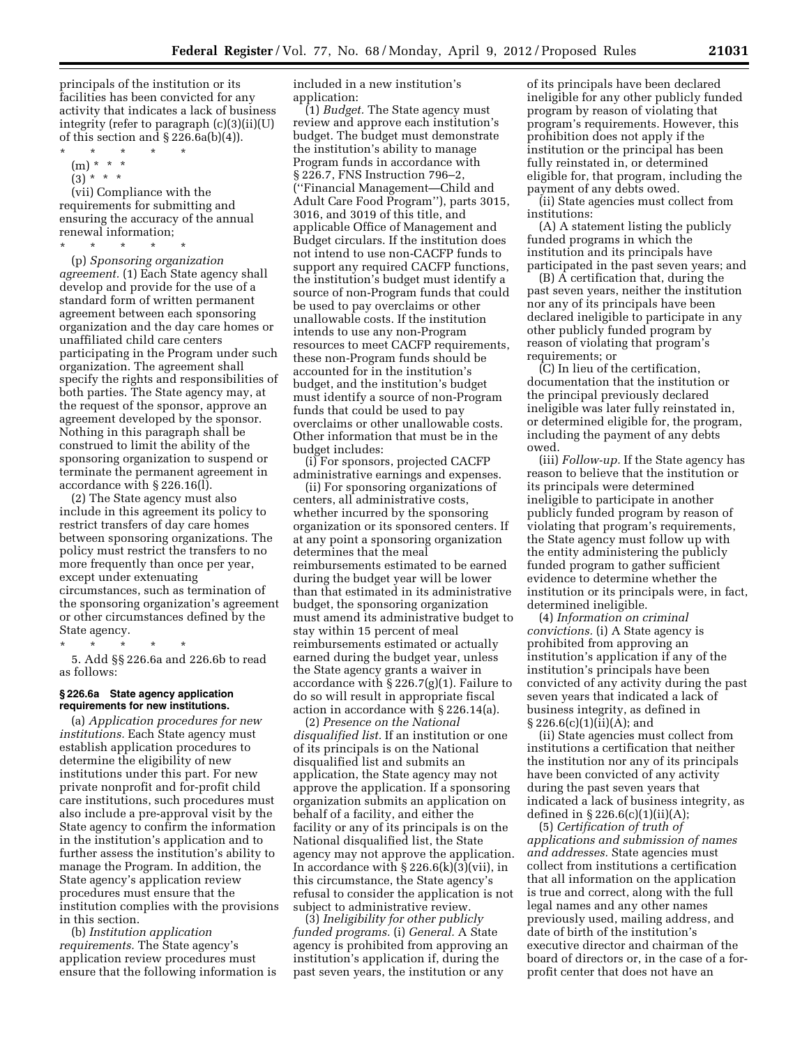principals of the institution or its facilities has been convicted for any activity that indicates a lack of business integrity (refer to paragraph (c)(3)(ii)(U) of this section and  $\S 226.6a(b)(4)$ .

- \* \* \* \* \*
	- (m) \* \* \*
	- $(3)^{*}$  \* \*

(vii) Compliance with the requirements for submitting and ensuring the accuracy of the annual renewal information;

\* \* \* \* \*

(p) *Sponsoring organization agreement.* (1) Each State agency shall develop and provide for the use of a standard form of written permanent agreement between each sponsoring organization and the day care homes or unaffiliated child care centers participating in the Program under such organization. The agreement shall specify the rights and responsibilities of both parties. The State agency may, at the request of the sponsor, approve an agreement developed by the sponsor. Nothing in this paragraph shall be construed to limit the ability of the sponsoring organization to suspend or terminate the permanent agreement in accordance with § 226.16(l).

(2) The State agency must also include in this agreement its policy to restrict transfers of day care homes between sponsoring organizations. The policy must restrict the transfers to no more frequently than once per year, except under extenuating circumstances, such as termination of the sponsoring organization's agreement or other circumstances defined by the State agency.

\* \* \* \* \*

5. Add §§ 226.6a and 226.6b to read as follows:

# **§ 226.6a State agency application requirements for new institutions.**

(a) *Application procedures for new institutions.* Each State agency must establish application procedures to determine the eligibility of new institutions under this part. For new private nonprofit and for-profit child care institutions, such procedures must also include a pre-approval visit by the State agency to confirm the information in the institution's application and to further assess the institution's ability to manage the Program. In addition, the State agency's application review procedures must ensure that the institution complies with the provisions in this section.

(b) *Institution application requirements.* The State agency's application review procedures must ensure that the following information is included in a new institution's application:

(1) *Budget.* The State agency must review and approve each institution's budget. The budget must demonstrate the institution's ability to manage Program funds in accordance with § 226.7, FNS Instruction 796–2, (''Financial Management—Child and Adult Care Food Program''), parts 3015, 3016, and 3019 of this title, and applicable Office of Management and Budget circulars. If the institution does not intend to use non-CACFP funds to support any required CACFP functions, the institution's budget must identify a source of non-Program funds that could be used to pay overclaims or other unallowable costs. If the institution intends to use any non-Program resources to meet CACFP requirements, these non-Program funds should be accounted for in the institution's budget, and the institution's budget must identify a source of non-Program funds that could be used to pay overclaims or other unallowable costs. Other information that must be in the budget includes:

(i) For sponsors, projected CACFP administrative earnings and expenses.

(ii) For sponsoring organizations of centers, all administrative costs, whether incurred by the sponsoring organization or its sponsored centers. If at any point a sponsoring organization determines that the meal reimbursements estimated to be earned during the budget year will be lower than that estimated in its administrative budget, the sponsoring organization must amend its administrative budget to stay within 15 percent of meal reimbursements estimated or actually earned during the budget year, unless the State agency grants a waiver in accordance with  $\S 226.7(g)(1)$ . Failure to do so will result in appropriate fiscal action in accordance with § 226.14(a).

(2) *Presence on the National disqualified list.* If an institution or one of its principals is on the National disqualified list and submits an application, the State agency may not approve the application. If a sponsoring organization submits an application on behalf of a facility, and either the facility or any of its principals is on the National disqualified list, the State agency may not approve the application. In accordance with  $\S 226.6(k)(3)(vii)$ , in this circumstance, the State agency's refusal to consider the application is not subject to administrative review.

(3) *Ineligibility for other publicly funded programs.* (i) *General.* A State agency is prohibited from approving an institution's application if, during the past seven years, the institution or any

of its principals have been declared ineligible for any other publicly funded program by reason of violating that program's requirements. However, this prohibition does not apply if the institution or the principal has been fully reinstated in, or determined eligible for, that program, including the payment of any debts owed.

(ii) State agencies must collect from institutions:

(A) A statement listing the publicly funded programs in which the institution and its principals have participated in the past seven years; and

(B) A certification that, during the past seven years, neither the institution nor any of its principals have been declared ineligible to participate in any other publicly funded program by reason of violating that program's requirements; or

(C) In lieu of the certification, documentation that the institution or the principal previously declared ineligible was later fully reinstated in, or determined eligible for, the program, including the payment of any debts owed.

(iii) *Follow-up.* If the State agency has reason to believe that the institution or its principals were determined ineligible to participate in another publicly funded program by reason of violating that program's requirements, the State agency must follow up with the entity administering the publicly funded program to gather sufficient evidence to determine whether the institution or its principals were, in fact, determined ineligible.

(4) *Information on criminal convictions.* (i) A State agency is prohibited from approving an institution's application if any of the institution's principals have been convicted of any activity during the past seven years that indicated a lack of business integrity, as defined in  $\S 226.6(c)(1)(ii)(A);$  and

(ii) State agencies must collect from institutions a certification that neither the institution nor any of its principals have been convicted of any activity during the past seven years that indicated a lack of business integrity, as defined in  $\S 226.6(c)(1)(ii)(A);$ 

(5) *Certification of truth of applications and submission of names and addresses.* State agencies must collect from institutions a certification that all information on the application is true and correct, along with the full legal names and any other names previously used, mailing address, and date of birth of the institution's executive director and chairman of the board of directors or, in the case of a forprofit center that does not have an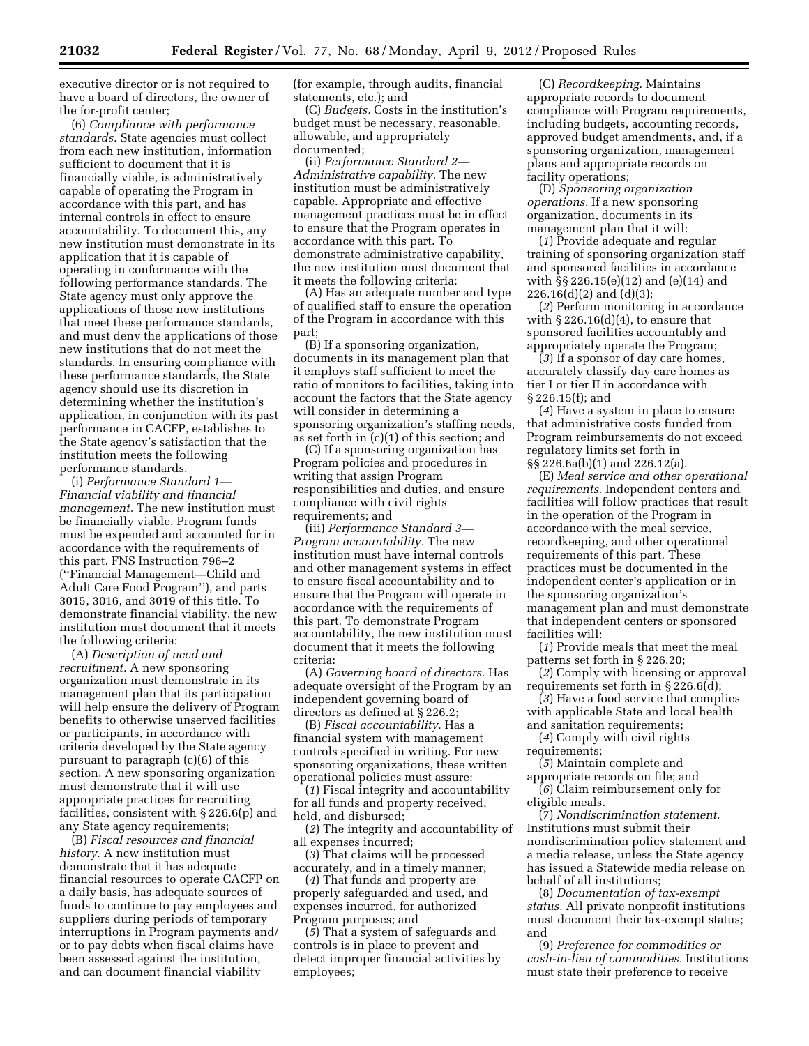executive director or is not required to have a board of directors, the owner of the for-profit center;

(6) *Compliance with performance standards.* State agencies must collect from each new institution, information sufficient to document that it is financially viable, is administratively capable of operating the Program in accordance with this part, and has internal controls in effect to ensure accountability. To document this, any new institution must demonstrate in its application that it is capable of operating in conformance with the following performance standards. The State agency must only approve the applications of those new institutions that meet these performance standards, and must deny the applications of those new institutions that do not meet the standards. In ensuring compliance with these performance standards, the State agency should use its discretion in determining whether the institution's application, in conjunction with its past performance in CACFP, establishes to the State agency's satisfaction that the institution meets the following performance standards.

(i) *Performance Standard 1— Financial viability and financial management.* The new institution must be financially viable. Program funds must be expended and accounted for in accordance with the requirements of this part, FNS Instruction 796–2 (''Financial Management—Child and Adult Care Food Program''), and parts 3015, 3016, and 3019 of this title. To demonstrate financial viability, the new institution must document that it meets the following criteria:

(A) *Description of need and recruitment.* A new sponsoring organization must demonstrate in its management plan that its participation will help ensure the delivery of Program benefits to otherwise unserved facilities or participants, in accordance with criteria developed by the State agency pursuant to paragraph (c)(6) of this section. A new sponsoring organization must demonstrate that it will use appropriate practices for recruiting facilities, consistent with § 226.6(p) and any State agency requirements;

(B) *Fiscal resources and financial history.* A new institution must demonstrate that it has adequate financial resources to operate CACFP on a daily basis, has adequate sources of funds to continue to pay employees and suppliers during periods of temporary interruptions in Program payments and/ or to pay debts when fiscal claims have been assessed against the institution, and can document financial viability

(for example, through audits, financial statements, etc.); and

(C) *Budgets.* Costs in the institution's budget must be necessary, reasonable, allowable, and appropriately documented;

(ii) *Performance Standard 2— Administrative capability.* The new institution must be administratively capable. Appropriate and effective management practices must be in effect to ensure that the Program operates in accordance with this part. To demonstrate administrative capability, the new institution must document that it meets the following criteria:

(A) Has an adequate number and type of qualified staff to ensure the operation of the Program in accordance with this part;

(B) If a sponsoring organization, documents in its management plan that it employs staff sufficient to meet the ratio of monitors to facilities, taking into account the factors that the State agency will consider in determining a sponsoring organization's staffing needs, as set forth in (c)(1) of this section; and

(C) If a sponsoring organization has Program policies and procedures in writing that assign Program responsibilities and duties, and ensure compliance with civil rights requirements; and

(iii) *Performance Standard 3— Program accountability.* The new institution must have internal controls and other management systems in effect to ensure fiscal accountability and to ensure that the Program will operate in accordance with the requirements of this part. To demonstrate Program accountability, the new institution must document that it meets the following criteria:

(A) *Governing board of directors.* Has adequate oversight of the Program by an independent governing board of directors as defined at § 226.2;

(B) *Fiscal accountability.* Has a financial system with management controls specified in writing. For new sponsoring organizations, these written operational policies must assure:

(*1*) Fiscal integrity and accountability for all funds and property received, held, and disbursed;

(*2*) The integrity and accountability of all expenses incurred;

(*3*) That claims will be processed accurately, and in a timely manner;

(*4*) That funds and property are properly safeguarded and used, and expenses incurred, for authorized Program purposes; and

(*5*) That a system of safeguards and controls is in place to prevent and detect improper financial activities by employees;

(C) *Recordkeeping.* Maintains appropriate records to document compliance with Program requirements, including budgets, accounting records, approved budget amendments, and, if a sponsoring organization, management plans and appropriate records on facility operations;

(D) *Sponsoring organization operations.* If a new sponsoring organization, documents in its management plan that it will:

(*1*) Provide adequate and regular training of sponsoring organization staff and sponsored facilities in accordance with §§ 226.15(e)(12) and (e)(14) and  $226.16(d)(2)$  and  $(d)(3)$ ;

(*2*) Perform monitoring in accordance with  $\S 226.16(d)(4)$ , to ensure that sponsored facilities accountably and appropriately operate the Program;

(*3*) If a sponsor of day care homes, accurately classify day care homes as tier I or tier II in accordance with § 226.15(f); and

(*4*) Have a system in place to ensure that administrative costs funded from Program reimbursements do not exceed regulatory limits set forth in §§ 226.6a(b)(1) and 226.12(a).

(E) *Meal service and other operational requirements.* Independent centers and facilities will follow practices that result in the operation of the Program in accordance with the meal service, recordkeeping, and other operational requirements of this part. These practices must be documented in the independent center's application or in the sponsoring organization's management plan and must demonstrate that independent centers or sponsored facilities will:

(*1*) Provide meals that meet the meal patterns set forth in § 226.20;

(*2*) Comply with licensing or approval requirements set forth in § 226.6(d);

(*3*) Have a food service that complies with applicable State and local health and sanitation requirements;

(*4*) Comply with civil rights

requirements;

(*5*) Maintain complete and appropriate records on file; and (*6*) Claim reimbursement only for

eligible meals.

(7) *Nondiscrimination statement.*  Institutions must submit their nondiscrimination policy statement and a media release, unless the State agency has issued a Statewide media release on behalf of all institutions;

(8) *Documentation of tax-exempt status.* All private nonprofit institutions must document their tax-exempt status; and

(9) *Preference for commodities or cash-in-lieu of commodities.* Institutions must state their preference to receive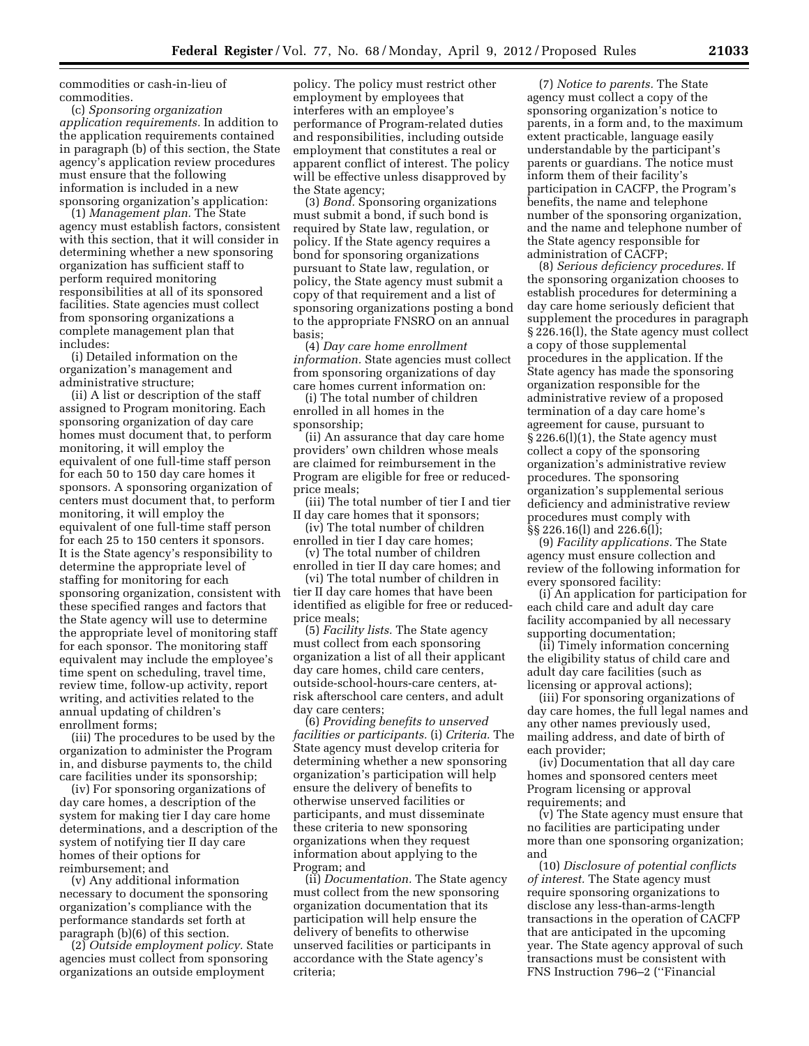commodities or cash-in-lieu of commodities.

(c) *Sponsoring organization application requirements.* In addition to the application requirements contained in paragraph (b) of this section, the State agency's application review procedures must ensure that the following information is included in a new sponsoring organization's application:

(1) *Management plan.* The State agency must establish factors, consistent with this section, that it will consider in determining whether a new sponsoring organization has sufficient staff to perform required monitoring responsibilities at all of its sponsored facilities. State agencies must collect from sponsoring organizations a complete management plan that includes:

(i) Detailed information on the organization's management and administrative structure;

(ii) A list or description of the staff assigned to Program monitoring. Each sponsoring organization of day care homes must document that, to perform monitoring, it will employ the equivalent of one full-time staff person for each 50 to 150 day care homes it sponsors. A sponsoring organization of centers must document that, to perform monitoring, it will employ the equivalent of one full-time staff person for each 25 to 150 centers it sponsors. It is the State agency's responsibility to determine the appropriate level of staffing for monitoring for each sponsoring organization, consistent with these specified ranges and factors that the State agency will use to determine the appropriate level of monitoring staff for each sponsor. The monitoring staff equivalent may include the employee's time spent on scheduling, travel time, review time, follow-up activity, report writing, and activities related to the annual updating of children's enrollment forms;

(iii) The procedures to be used by the organization to administer the Program in, and disburse payments to, the child care facilities under its sponsorship;

(iv) For sponsoring organizations of day care homes, a description of the system for making tier I day care home determinations, and a description of the system of notifying tier II day care homes of their options for reimbursement; and

(v) Any additional information necessary to document the sponsoring organization's compliance with the performance standards set forth at paragraph (b)(6) of this section.

(2) *Outside employment policy.* State agencies must collect from sponsoring organizations an outside employment

policy. The policy must restrict other employment by employees that interferes with an employee's performance of Program-related duties and responsibilities, including outside employment that constitutes a real or apparent conflict of interest. The policy will be effective unless disapproved by the State agency;

(3) *Bond.* Sponsoring organizations must submit a bond, if such bond is required by State law, regulation, or policy. If the State agency requires a bond for sponsoring organizations pursuant to State law, regulation, or policy, the State agency must submit a copy of that requirement and a list of sponsoring organizations posting a bond to the appropriate FNSRO on an annual basis;

(4) *Day care home enrollment information.* State agencies must collect from sponsoring organizations of day care homes current information on:

(i) The total number of children enrolled in all homes in the sponsorship;

(ii) An assurance that day care home providers' own children whose meals are claimed for reimbursement in the Program are eligible for free or reducedprice meals;

(iii) The total number of tier I and tier II day care homes that it sponsors;

(iv) The total number of children enrolled in tier I day care homes;

(v) The total number of children enrolled in tier II day care homes; and

(vi) The total number of children in tier II day care homes that have been identified as eligible for free or reducedprice meals;

(5) *Facility lists.* The State agency must collect from each sponsoring organization a list of all their applicant day care homes, child care centers, outside-school-hours-care centers, atrisk afterschool care centers, and adult day care centers;

(6) *Providing benefits to unserved facilities or participants.* (i) *Criteria.* The State agency must develop criteria for determining whether a new sponsoring organization's participation will help ensure the delivery of benefits to otherwise unserved facilities or participants, and must disseminate these criteria to new sponsoring organizations when they request information about applying to the Program; and

(ii) *Documentation.* The State agency must collect from the new sponsoring organization documentation that its participation will help ensure the delivery of benefits to otherwise unserved facilities or participants in accordance with the State agency's criteria;

(7) *Notice to parents.* The State agency must collect a copy of the sponsoring organization's notice to parents, in a form and, to the maximum extent practicable, language easily understandable by the participant's parents or guardians. The notice must inform them of their facility's participation in CACFP, the Program's benefits, the name and telephone number of the sponsoring organization, and the name and telephone number of the State agency responsible for administration of CACFP;

(8) *Serious deficiency procedures.* If the sponsoring organization chooses to establish procedures for determining a day care home seriously deficient that supplement the procedures in paragraph § 226.16(l), the State agency must collect a copy of those supplemental procedures in the application. If the State agency has made the sponsoring organization responsible for the administrative review of a proposed termination of a day care home's agreement for cause, pursuant to § 226.6(l)(1), the State agency must collect a copy of the sponsoring organization's administrative review procedures. The sponsoring organization's supplemental serious deficiency and administrative review procedures must comply with §§ 226.16(l) and 226.6(l);

(9) *Facility applications.* The State agency must ensure collection and review of the following information for every sponsored facility:

(i) An application for participation for each child care and adult day care facility accompanied by all necessary supporting documentation;

(ii) Timely information concerning the eligibility status of child care and adult day care facilities (such as licensing or approval actions);

(iii) For sponsoring organizations of day care homes, the full legal names and any other names previously used, mailing address, and date of birth of each provider;

(iv) Documentation that all day care homes and sponsored centers meet Program licensing or approval requirements; and

(v) The State agency must ensure that no facilities are participating under more than one sponsoring organization; and

(10) *Disclosure of potential conflicts of interest.* The State agency must require sponsoring organizations to disclose any less-than-arms-length transactions in the operation of CACFP that are anticipated in the upcoming year. The State agency approval of such transactions must be consistent with FNS Instruction 796–2 (''Financial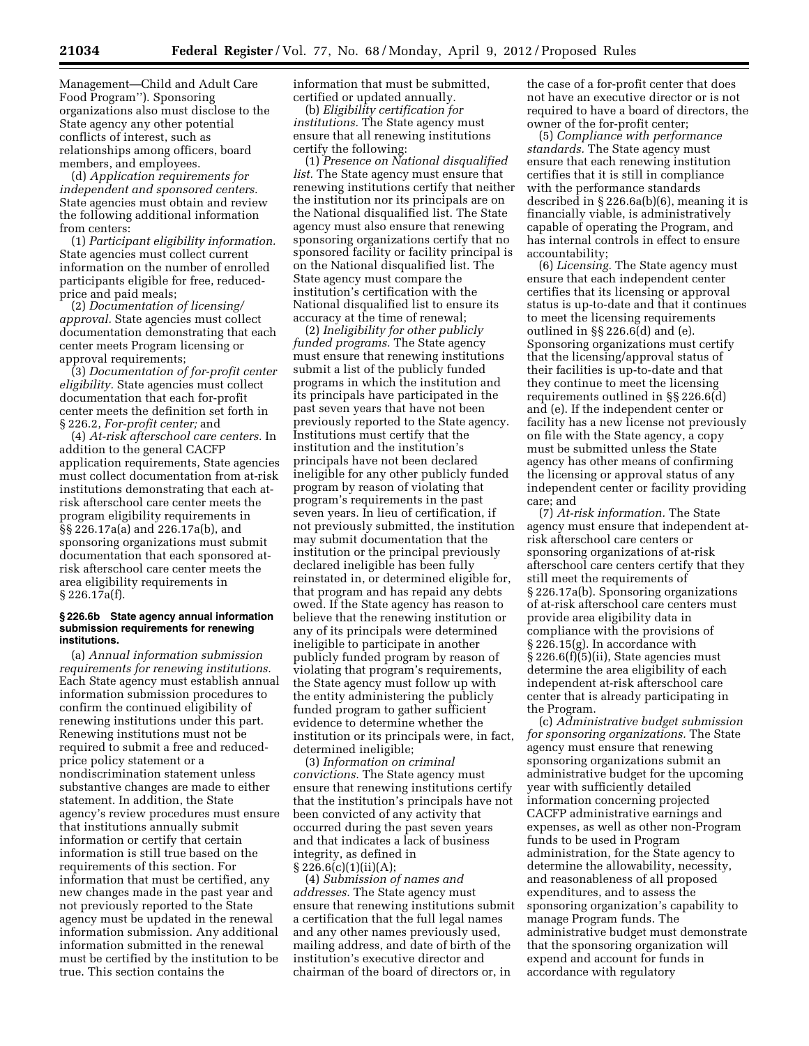(d) *Application requirements for independent and sponsored centers.*  State agencies must obtain and review the following additional information from centers:

(1) *Participant eligibility information.*  State agencies must collect current information on the number of enrolled participants eligible for free, reducedprice and paid meals;

(2) *Documentation of licensing/ approval.* State agencies must collect documentation demonstrating that each center meets Program licensing or approval requirements;

(3) *Documentation of for-profit center eligibility.* State agencies must collect documentation that each for-profit center meets the definition set forth in § 226.2, *For-profit center;* and

(4) *At-risk afterschool care centers.* In addition to the general CACFP application requirements, State agencies must collect documentation from at-risk institutions demonstrating that each atrisk afterschool care center meets the program eligibility requirements in §§ 226.17a(a) and 226.17a(b), and sponsoring organizations must submit documentation that each sponsored atrisk afterschool care center meets the area eligibility requirements in § 226.17a(f).

#### **§ 226.6b State agency annual information submission requirements for renewing institutions.**

(a) *Annual information submission requirements for renewing institutions.*  Each State agency must establish annual information submission procedures to confirm the continued eligibility of renewing institutions under this part. Renewing institutions must not be required to submit a free and reducedprice policy statement or a nondiscrimination statement unless substantive changes are made to either statement. In addition, the State agency's review procedures must ensure that institutions annually submit information or certify that certain information is still true based on the requirements of this section. For information that must be certified, any new changes made in the past year and not previously reported to the State agency must be updated in the renewal information submission. Any additional information submitted in the renewal must be certified by the institution to be true. This section contains the

information that must be submitted, certified or updated annually.

(b) *Eligibility certification for institutions.* The State agency must ensure that all renewing institutions certify the following:

(1) *Presence on National disqualified list.* The State agency must ensure that renewing institutions certify that neither the institution nor its principals are on the National disqualified list. The State agency must also ensure that renewing sponsoring organizations certify that no sponsored facility or facility principal is on the National disqualified list. The State agency must compare the institution's certification with the National disqualified list to ensure its accuracy at the time of renewal;

(2) *Ineligibility for other publicly funded programs.* The State agency must ensure that renewing institutions submit a list of the publicly funded programs in which the institution and its principals have participated in the past seven years that have not been previously reported to the State agency. Institutions must certify that the institution and the institution's principals have not been declared ineligible for any other publicly funded program by reason of violating that program's requirements in the past seven years. In lieu of certification, if not previously submitted, the institution may submit documentation that the institution or the principal previously declared ineligible has been fully reinstated in, or determined eligible for, that program and has repaid any debts owed. If the State agency has reason to believe that the renewing institution or any of its principals were determined ineligible to participate in another publicly funded program by reason of violating that program's requirements, the State agency must follow up with the entity administering the publicly funded program to gather sufficient evidence to determine whether the institution or its principals were, in fact, determined ineligible;

(3) *Information on criminal convictions.* The State agency must ensure that renewing institutions certify that the institution's principals have not been convicted of any activity that occurred during the past seven years and that indicates a lack of business integrity, as defined in  $\S 226.6(c)(1)(ii)(A);$ 

(4) *Submission of names and addresses.* The State agency must ensure that renewing institutions submit a certification that the full legal names and any other names previously used, mailing address, and date of birth of the institution's executive director and chairman of the board of directors or, in

the case of a for-profit center that does not have an executive director or is not required to have a board of directors, the owner of the for-profit center;

(5) *Compliance with performance standards.* The State agency must ensure that each renewing institution certifies that it is still in compliance with the performance standards described in § 226.6a(b)(6), meaning it is financially viable, is administratively capable of operating the Program, and has internal controls in effect to ensure accountability;

(6) *Licensing.* The State agency must ensure that each independent center certifies that its licensing or approval status is up-to-date and that it continues to meet the licensing requirements outlined in §§ 226.6(d) and (e). Sponsoring organizations must certify that the licensing/approval status of their facilities is up-to-date and that they continue to meet the licensing requirements outlined in §§ 226.6(d) and (e). If the independent center or facility has a new license not previously on file with the State agency, a copy must be submitted unless the State agency has other means of confirming the licensing or approval status of any independent center or facility providing care; and

(7) *At-risk information.* The State agency must ensure that independent atrisk afterschool care centers or sponsoring organizations of at-risk afterschool care centers certify that they still meet the requirements of § 226.17a(b). Sponsoring organizations of at-risk afterschool care centers must provide area eligibility data in compliance with the provisions of § 226.15(g). In accordance with § 226.6(f)(5)(ii), State agencies must determine the area eligibility of each independent at-risk afterschool care center that is already participating in the Program.

(c) *Administrative budget submission for sponsoring organizations.* The State agency must ensure that renewing sponsoring organizations submit an administrative budget for the upcoming year with sufficiently detailed information concerning projected CACFP administrative earnings and expenses, as well as other non-Program funds to be used in Program administration, for the State agency to determine the allowability, necessity, and reasonableness of all proposed expenditures, and to assess the sponsoring organization's capability to manage Program funds. The administrative budget must demonstrate that the sponsoring organization will expend and account for funds in accordance with regulatory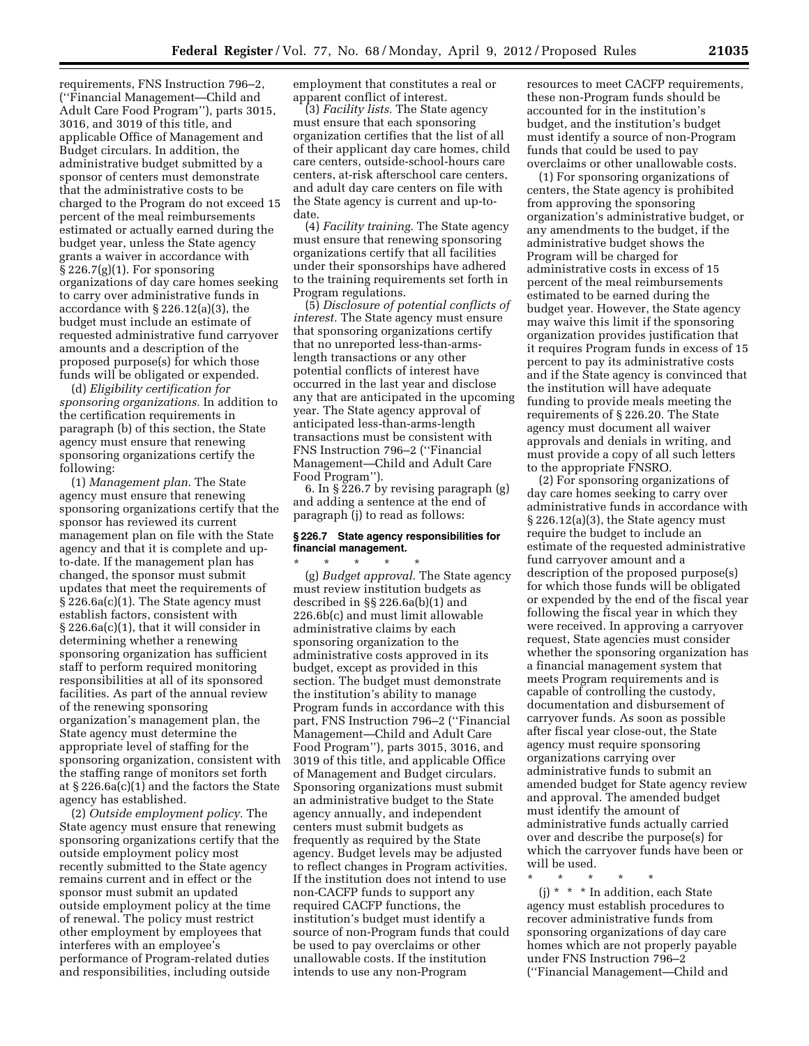requirements, FNS Instruction 796–2, (''Financial Management—Child and Adult Care Food Program''), parts 3015, 3016, and 3019 of this title, and applicable Office of Management and Budget circulars. In addition, the administrative budget submitted by a sponsor of centers must demonstrate that the administrative costs to be charged to the Program do not exceed 15 percent of the meal reimbursements estimated or actually earned during the budget year, unless the State agency grants a waiver in accordance with  $\S 226.7(g)(1)$ . For sponsoring organizations of day care homes seeking to carry over administrative funds in accordance with § 226.12(a)(3), the budget must include an estimate of requested administrative fund carryover amounts and a description of the proposed purpose(s) for which those funds will be obligated or expended.

(d) *Eligibility certification for sponsoring organizations.* In addition to the certification requirements in paragraph (b) of this section, the State agency must ensure that renewing sponsoring organizations certify the following:

(1) *Management plan.* The State agency must ensure that renewing sponsoring organizations certify that the sponsor has reviewed its current management plan on file with the State agency and that it is complete and upto-date. If the management plan has changed, the sponsor must submit updates that meet the requirements of § 226.6a(c)(1). The State agency must establish factors, consistent with § 226.6a(c)(1), that it will consider in determining whether a renewing sponsoring organization has sufficient staff to perform required monitoring responsibilities at all of its sponsored facilities. As part of the annual review of the renewing sponsoring organization's management plan, the State agency must determine the appropriate level of staffing for the sponsoring organization, consistent with the staffing range of monitors set forth at § 226.6a(c)(1) and the factors the State agency has established.

(2) *Outside employment policy.* The State agency must ensure that renewing sponsoring organizations certify that the outside employment policy most recently submitted to the State agency remains current and in effect or the sponsor must submit an updated outside employment policy at the time of renewal. The policy must restrict other employment by employees that interferes with an employee's performance of Program-related duties and responsibilities, including outside

employment that constitutes a real or apparent conflict of interest.

(3) *Facility lists.* The State agency must ensure that each sponsoring organization certifies that the list of all of their applicant day care homes, child care centers, outside-school-hours care centers, at-risk afterschool care centers, and adult day care centers on file with the State agency is current and up-todate.

(4) *Facility training.* The State agency must ensure that renewing sponsoring organizations certify that all facilities under their sponsorships have adhered to the training requirements set forth in Program regulations.

(5) *Disclosure of potential conflicts of interest.* The State agency must ensure that sponsoring organizations certify that no unreported less-than-armslength transactions or any other potential conflicts of interest have occurred in the last year and disclose any that are anticipated in the upcoming year. The State agency approval of anticipated less-than-arms-length transactions must be consistent with FNS Instruction 796–2 (''Financial Management—Child and Adult Care Food Program'').

6. In § 226.7 by revising paragraph (g) and adding a sentence at the end of paragraph (j) to read as follows:

# **§ 226.7 State agency responsibilities for financial management.**

\* \* \* \* \* (g) *Budget approval.* The State agency must review institution budgets as described in §§ 226.6a(b)(1) and 226.6b(c) and must limit allowable administrative claims by each sponsoring organization to the administrative costs approved in its budget, except as provided in this section. The budget must demonstrate the institution's ability to manage Program funds in accordance with this part, FNS Instruction 796–2 (''Financial Management—Child and Adult Care Food Program''), parts 3015, 3016, and 3019 of this title, and applicable Office of Management and Budget circulars. Sponsoring organizations must submit an administrative budget to the State agency annually, and independent centers must submit budgets as frequently as required by the State agency. Budget levels may be adjusted to reflect changes in Program activities. If the institution does not intend to use non-CACFP funds to support any required CACFP functions, the institution's budget must identify a source of non-Program funds that could be used to pay overclaims or other unallowable costs. If the institution intends to use any non-Program

resources to meet CACFP requirements, these non-Program funds should be accounted for in the institution's budget, and the institution's budget must identify a source of non-Program funds that could be used to pay overclaims or other unallowable costs.

(1) For sponsoring organizations of centers, the State agency is prohibited from approving the sponsoring organization's administrative budget, or any amendments to the budget, if the administrative budget shows the Program will be charged for administrative costs in excess of 15 percent of the meal reimbursements estimated to be earned during the budget year. However, the State agency may waive this limit if the sponsoring organization provides justification that it requires Program funds in excess of 15 percent to pay its administrative costs and if the State agency is convinced that the institution will have adequate funding to provide meals meeting the requirements of § 226.20. The State agency must document all waiver approvals and denials in writing, and must provide a copy of all such letters to the appropriate FNSRO.

(2) For sponsoring organizations of day care homes seeking to carry over administrative funds in accordance with § 226.12(a)(3), the State agency must require the budget to include an estimate of the requested administrative fund carryover amount and a description of the proposed purpose(s) for which those funds will be obligated or expended by the end of the fiscal year following the fiscal year in which they were received. In approving a carryover request, State agencies must consider whether the sponsoring organization has a financial management system that meets Program requirements and is capable of controlling the custody, documentation and disbursement of carryover funds. As soon as possible after fiscal year close-out, the State agency must require sponsoring organizations carrying over administrative funds to submit an amended budget for State agency review and approval. The amended budget must identify the amount of administrative funds actually carried over and describe the purpose(s) for which the carryover funds have been or will be used.

\* \* \* \* \* (j) \* \* \* In addition, each State agency must establish procedures to recover administrative funds from sponsoring organizations of day care homes which are not properly payable under FNS Instruction 796–2 (''Financial Management—Child and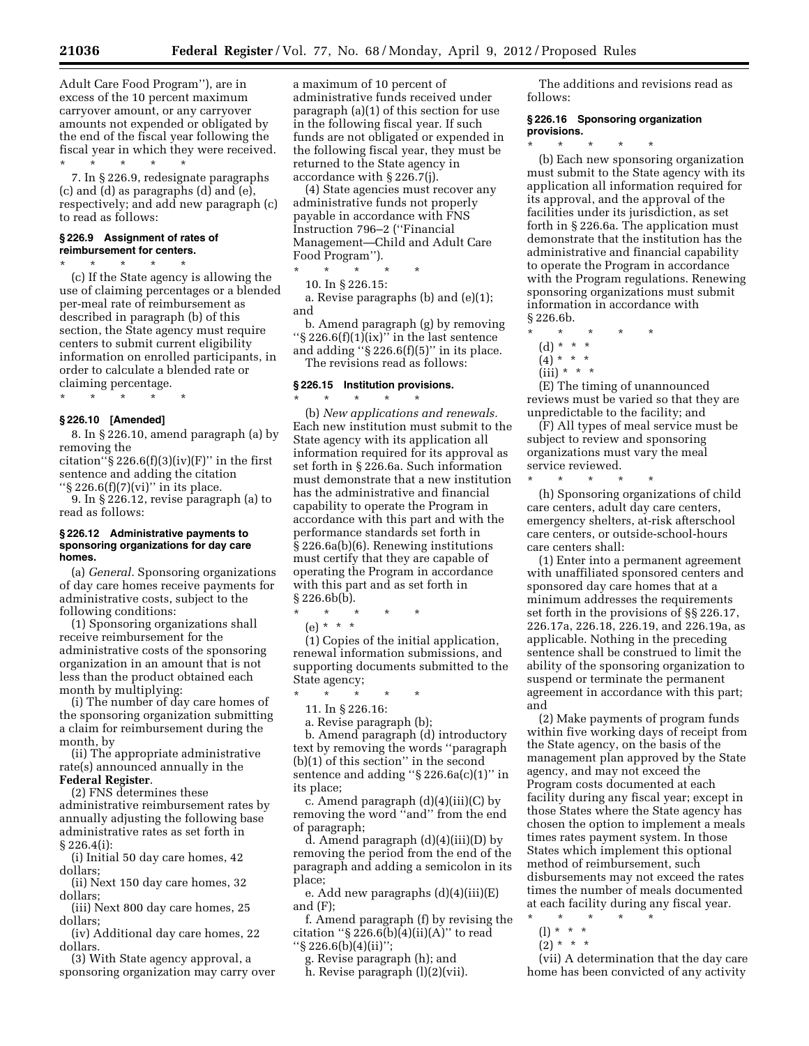Adult Care Food Program''), are in excess of the 10 percent maximum carryover amount, or any carryover amounts not expended or obligated by the end of the fiscal year following the fiscal year in which they were received. \* \* \* \* \*

7. In § 226.9, redesignate paragraphs (c) and (d) as paragraphs (d) and (e), respectively; and add new paragraph (c) to read as follows:

# **§ 226.9 Assignment of rates of reimbursement for centers.**

\* \* \* \* \*

(c) If the State agency is allowing the use of claiming percentages or a blended per-meal rate of reimbursement as described in paragraph (b) of this section, the State agency must require centers to submit current eligibility information on enrolled participants, in order to calculate a blended rate or claiming percentage.

\* \* \* \* \*

# **§ 226.10 [Amended]**

8. In § 226.10, amend paragraph (a) by removing the

citation" $\S 226.6(f)(3)(iv)(F)$ " in the first sentence and adding the citation " $\S 226.6(f)(7)(vi)$ " in its place.

9. In § 226.12, revise paragraph (a) to read as follows:

## **§ 226.12 Administrative payments to sponsoring organizations for day care homes.**

(a) *General.* Sponsoring organizations of day care homes receive payments for administrative costs, subject to the following conditions:

(1) Sponsoring organizations shall receive reimbursement for the administrative costs of the sponsoring organization in an amount that is not less than the product obtained each month by multiplying:

(i) The number of day care homes of the sponsoring organization submitting a claim for reimbursement during the month, by

(ii) The appropriate administrative rate(s) announced annually in the **Federal Register**.

(2) FNS determines these administrative reimbursement rates by annually adjusting the following base administrative rates as set forth in § 226.4(i):

(i) Initial 50 day care homes, 42 dollars;

(ii) Next 150 day care homes, 32 dollars;

(iii) Next 800 day care homes, 25 dollars;

(iv) Additional day care homes, 22 dollars.

(3) With State agency approval, a sponsoring organization may carry over

a maximum of 10 percent of administrative funds received under paragraph (a)(1) of this section for use in the following fiscal year. If such funds are not obligated or expended in the following fiscal year, they must be returned to the State agency in accordance with § 226.7(j).

(4) State agencies must recover any administrative funds not properly payable in accordance with FNS Instruction 796–2 (''Financial Management—Child and Adult Care Food Program''). \* \* \* \* \*

10. In § 226.15:

a. Revise paragraphs (b) and (e)(1); and

b. Amend paragraph (g) by removing " $\S 226.6(f)(1)(ix)$ " in the last sentence and adding " $\S 226.6(f)(5)$ " in its place.

The revisions read as follows:

# **§ 226.15 Institution provisions.**

\* \* \* \* \* (b) *New applications and renewals.*  Each new institution must submit to the State agency with its application all information required for its approval as set forth in § 226.6a. Such information must demonstrate that a new institution has the administrative and financial capability to operate the Program in accordance with this part and with the performance standards set forth in § 226.6a(b)(6). Renewing institutions must certify that they are capable of operating the Program in accordance with this part and as set forth in  $§ 226.6b(b).$ 

\* \* \* \* \*

(e) \* \* \* (1) Copies of the initial application, renewal information submissions, and supporting documents submitted to the State agency;

\* \* \* \* \*

11. In § 226.16:

a. Revise paragraph (b);

b. Amend paragraph (d) introductory text by removing the words ''paragraph (b)(1) of this section'' in the second sentence and adding ''§ 226.6a(c)(1)'' in its place;

c. Amend paragraph  $(d)(4)(iii)(C)$  by removing the word ''and'' from the end of paragraph;

d. Amend paragraph (d)(4)(iii)(D) by removing the period from the end of the paragraph and adding a semicolon in its place;

e. Add new paragraphs (d)(4)(iii)(E) and (F);

f. Amend paragraph (f) by revising the citation " $\S 226.6(b)(4)(ii)(A)$ " to read ''§ 226.6(b)(4)(ii)'';

g. Revise paragraph (h); and

h. Revise paragraph (l)(2)(vii).

The additions and revisions read as follows:

# **§ 226.16 Sponsoring organization provisions.**

(b) Each new sponsoring organization must submit to the State agency with its application all information required for its approval, and the approval of the facilities under its jurisdiction, as set forth in § 226.6a. The application must demonstrate that the institution has the administrative and financial capability to operate the Program in accordance with the Program regulations. Renewing sponsoring organizations must submit information in accordance with § 226.6b.

- \* \* \* \* \*
- (d) \* \* \*  $(4) * * * *$

\* \* \* \* \*

 $(iii) * * * *$ 

(E) The timing of unannounced reviews must be varied so that they are unpredictable to the facility; and

(F) All types of meal service must be subject to review and sponsoring organizations must vary the meal service reviewed. \* \* \* \* \*

(h) Sponsoring organizations of child care centers, adult day care centers, emergency shelters, at-risk afterschool care centers, or outside-school-hours care centers shall:

(1) Enter into a permanent agreement with unaffiliated sponsored centers and sponsored day care homes that at a minimum addresses the requirements set forth in the provisions of §§ 226.17, 226.17a, 226.18, 226.19, and 226.19a, as applicable. Nothing in the preceding sentence shall be construed to limit the ability of the sponsoring organization to suspend or terminate the permanent agreement in accordance with this part; and

(2) Make payments of program funds within five working days of receipt from the State agency, on the basis of the management plan approved by the State agency, and may not exceed the Program costs documented at each facility during any fiscal year; except in those States where the State agency has chosen the option to implement a meals times rates payment system. In those States which implement this optional method of reimbursement, such disbursements may not exceed the rates times the number of meals documented at each facility during any fiscal year.

- \* \* \* \* \*
- (l) \* \* \*
- $(2) * * * *$

(vii) A determination that the day care home has been convicted of any activity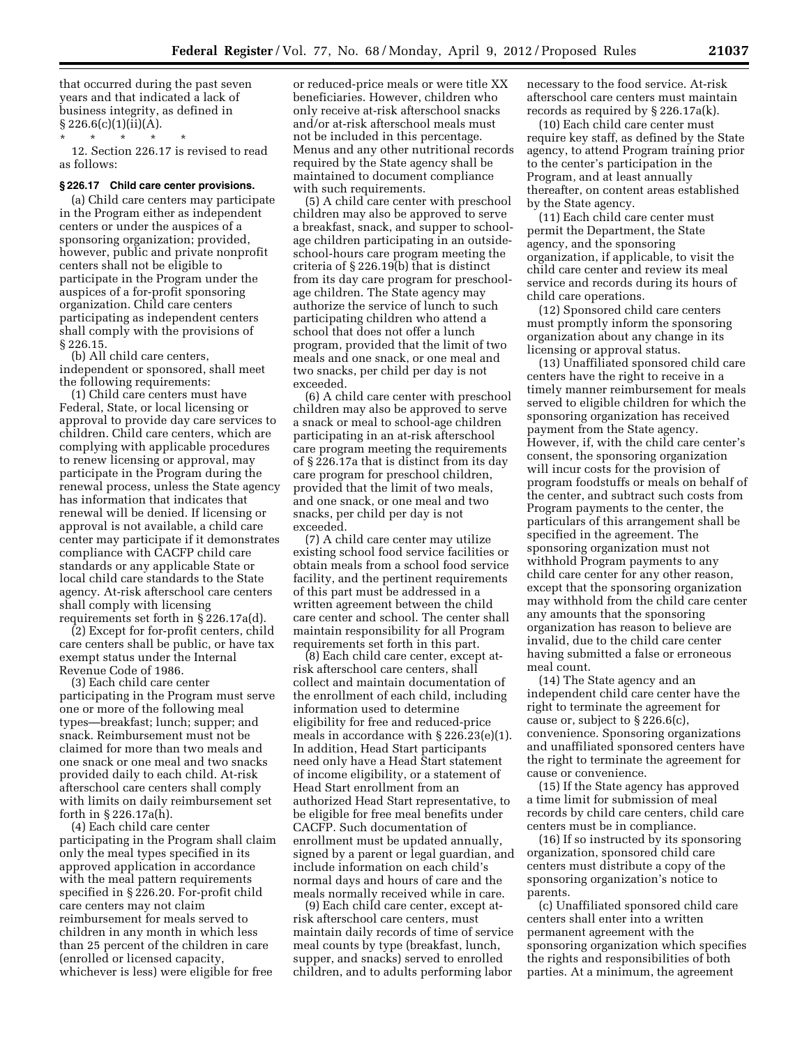that occurred during the past seven years and that indicated a lack of business integrity, as defined in  $§ 226.6(c)(1)(ii)(A).$ 

\* \* \* \* \*

12. Section 226.17 is revised to read as follows:

#### **§ 226.17 Child care center provisions.**

(a) Child care centers may participate in the Program either as independent centers or under the auspices of a sponsoring organization; provided, however, public and private nonprofit centers shall not be eligible to participate in the Program under the auspices of a for-profit sponsoring organization. Child care centers participating as independent centers shall comply with the provisions of § 226.15.

(b) All child care centers, independent or sponsored, shall meet the following requirements:

(1) Child care centers must have Federal, State, or local licensing or approval to provide day care services to children. Child care centers, which are complying with applicable procedures to renew licensing or approval, may participate in the Program during the renewal process, unless the State agency has information that indicates that renewal will be denied. If licensing or approval is not available, a child care center may participate if it demonstrates compliance with CACFP child care standards or any applicable State or local child care standards to the State agency. At-risk afterschool care centers shall comply with licensing requirements set forth in § 226.17a(d).

(2) Except for for-profit centers, child care centers shall be public, or have tax exempt status under the Internal Revenue Code of 1986.

(3) Each child care center participating in the Program must serve one or more of the following meal types—breakfast; lunch; supper; and snack. Reimbursement must not be claimed for more than two meals and one snack or one meal and two snacks provided daily to each child. At-risk afterschool care centers shall comply with limits on daily reimbursement set forth in § 226.17a(h).

(4) Each child care center participating in the Program shall claim only the meal types specified in its approved application in accordance with the meal pattern requirements specified in § 226.20. For-profit child care centers may not claim reimbursement for meals served to children in any month in which less than 25 percent of the children in care (enrolled or licensed capacity, whichever is less) were eligible for free

or reduced-price meals or were title XX beneficiaries. However, children who only receive at-risk afterschool snacks and/or at-risk afterschool meals must not be included in this percentage. Menus and any other nutritional records required by the State agency shall be maintained to document compliance with such requirements.

(5) A child care center with preschool children may also be approved to serve a breakfast, snack, and supper to schoolage children participating in an outsideschool-hours care program meeting the criteria of § 226.19(b) that is distinct from its day care program for preschoolage children. The State agency may authorize the service of lunch to such participating children who attend a school that does not offer a lunch program, provided that the limit of two meals and one snack, or one meal and two snacks, per child per day is not exceeded.

(6) A child care center with preschool children may also be approved to serve a snack or meal to school-age children participating in an at-risk afterschool care program meeting the requirements of § 226.17a that is distinct from its day care program for preschool children, provided that the limit of two meals, and one snack, or one meal and two snacks, per child per day is not exceeded.

(7) A child care center may utilize existing school food service facilities or obtain meals from a school food service facility, and the pertinent requirements of this part must be addressed in a written agreement between the child care center and school. The center shall maintain responsibility for all Program requirements set forth in this part.

(8) Each child care center, except atrisk afterschool care centers, shall collect and maintain documentation of the enrollment of each child, including information used to determine eligibility for free and reduced-price meals in accordance with § 226.23(e)(1). In addition, Head Start participants need only have a Head Start statement of income eligibility, or a statement of Head Start enrollment from an authorized Head Start representative, to be eligible for free meal benefits under CACFP. Such documentation of enrollment must be updated annually, signed by a parent or legal guardian, and include information on each child's normal days and hours of care and the meals normally received while in care.

(9) Each child care center, except atrisk afterschool care centers, must maintain daily records of time of service meal counts by type (breakfast, lunch, supper, and snacks) served to enrolled children, and to adults performing labor

necessary to the food service. At-risk afterschool care centers must maintain records as required by § 226.17a(k).

(10) Each child care center must require key staff, as defined by the State agency, to attend Program training prior to the center's participation in the Program, and at least annually thereafter, on content areas established by the State agency.

(11) Each child care center must permit the Department, the State agency, and the sponsoring organization, if applicable, to visit the child care center and review its meal service and records during its hours of child care operations.

(12) Sponsored child care centers must promptly inform the sponsoring organization about any change in its licensing or approval status.

(13) Unaffiliated sponsored child care centers have the right to receive in a timely manner reimbursement for meals served to eligible children for which the sponsoring organization has received payment from the State agency. However, if, with the child care center's consent, the sponsoring organization will incur costs for the provision of program foodstuffs or meals on behalf of the center, and subtract such costs from Program payments to the center, the particulars of this arrangement shall be specified in the agreement. The sponsoring organization must not withhold Program payments to any child care center for any other reason, except that the sponsoring organization may withhold from the child care center any amounts that the sponsoring organization has reason to believe are invalid, due to the child care center having submitted a false or erroneous meal count.

(14) The State agency and an independent child care center have the right to terminate the agreement for cause or, subject to § 226.6(c), convenience. Sponsoring organizations and unaffiliated sponsored centers have the right to terminate the agreement for cause or convenience.

(15) If the State agency has approved a time limit for submission of meal records by child care centers, child care centers must be in compliance.

(16) If so instructed by its sponsoring organization, sponsored child care centers must distribute a copy of the sponsoring organization's notice to parents.

(c) Unaffiliated sponsored child care centers shall enter into a written permanent agreement with the sponsoring organization which specifies the rights and responsibilities of both parties. At a minimum, the agreement